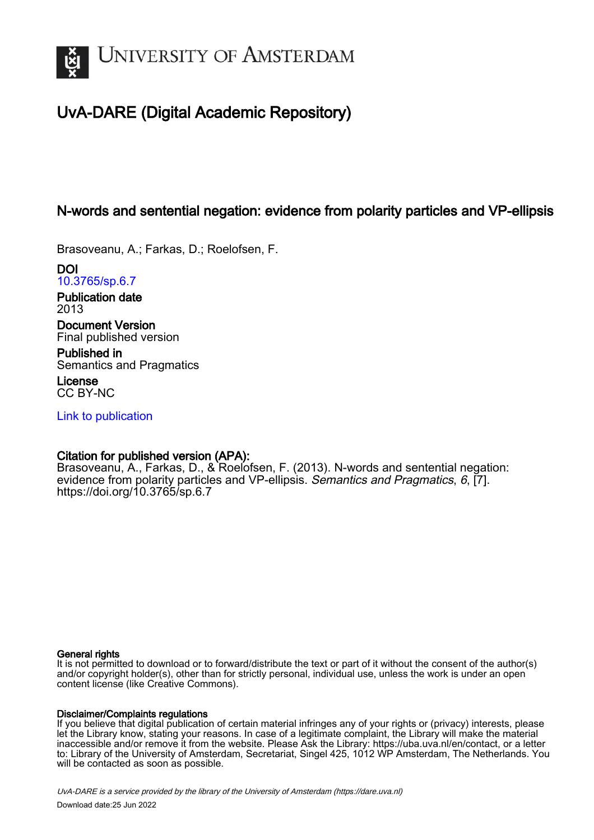

# UvA-DARE (Digital Academic Repository)

# N-words and sentential negation: evidence from polarity particles and VP-ellipsis

Brasoveanu, A.; Farkas, D.; Roelofsen, F.

DOI [10.3765/sp.6.7](https://doi.org/10.3765/sp.6.7)

Publication date 2013

Document Version Final published version

Published in Semantics and Pragmatics

License CC BY-NC

[Link to publication](https://dare.uva.nl/personal/pure/en/publications/nwords-and-sentential-negation-evidence-from-polarity-particles-and-vpellipsis(a872667a-1d5b-4d5a-8430-8ae85155c8e5).html)

# Citation for published version (APA):

Brasoveanu, A., Farkas, D., & Roelofsen, F. (2013). N-words and sentential negation: evidence from polarity particles and VP-ellipsis. Semantics and Pragmatics, 6, [7]. <https://doi.org/10.3765/sp.6.7>

### General rights

It is not permitted to download or to forward/distribute the text or part of it without the consent of the author(s) and/or copyright holder(s), other than for strictly personal, individual use, unless the work is under an open content license (like Creative Commons).

### Disclaimer/Complaints regulations

If you believe that digital publication of certain material infringes any of your rights or (privacy) interests, please let the Library know, stating your reasons. In case of a legitimate complaint, the Library will make the material inaccessible and/or remove it from the website. Please Ask the Library: https://uba.uva.nl/en/contact, or a letter to: Library of the University of Amsterdam, Secretariat, Singel 425, 1012 WP Amsterdam, The Netherlands. You will be contacted as soon as possible.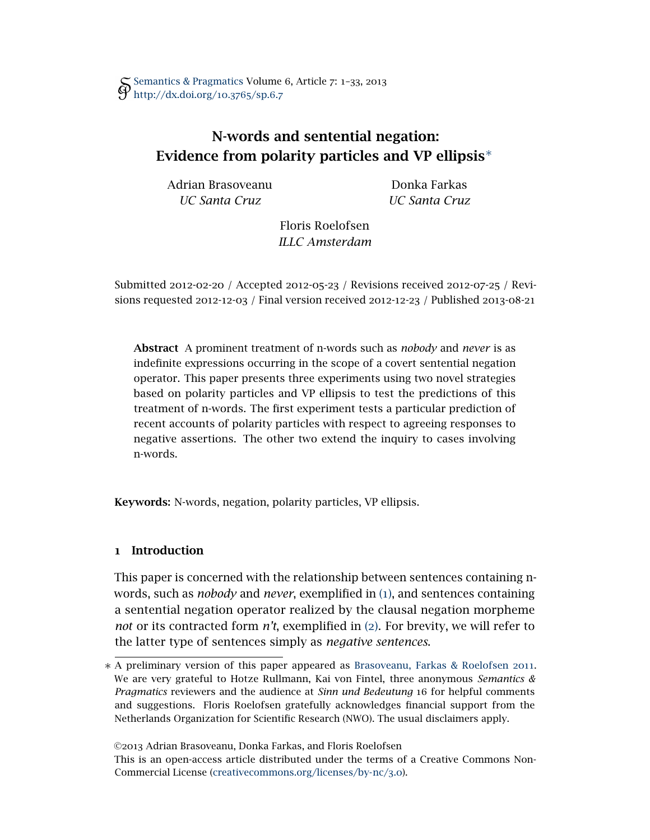# N-words and sentential negation: Evidence from polarity particles and VP ellipsis<sup>∗</sup>

Adrian Brasoveanu *UC Santa Cruz*

Donka Farkas *UC Santa Cruz*

Floris Roelofsen *ILLC Amsterdam*

Submitted 2012-02-20 */* Accepted 2012-05-23 */* Revisions received 2012-07-25 */* Revisions requested 2012-12-03 */* Final version received 2012-12-23 */* Published 2013-08-21

Abstract A prominent treatment of n-words such as *nobody* and *never* is as indefinite expressions occurring in the scope of a covert sentential negation operator. This paper presents three experiments using two novel strategies based on polarity particles and VP ellipsis to test the predictions of this treatment of n-words. The first experiment tests a particular prediction of recent accounts of polarity particles with respect to agreeing responses to negative assertions. The other two extend the inquiry to cases involving n-words.

Keywords: N-words, negation, polarity particles, VP ellipsis.

## 1 Introduction

This paper is concerned with the relationship between sentences containing nwords, such as *nobody* and *never*, exemplified in ([1](#page-1-0)), and sentences containing a sentential negation operator realized by the clausal negation morpheme *not* or its contracted form *n't*, exemplified in ([2](#page-2-0)). For brevity, we will refer to the latter type of sentences simply as *negative sentences*.

©2013 Adrian Brasoveanu, Donka Farkas, and Floris Roelofsen

<span id="page-1-0"></span><sup>∗</sup> A preliminary version of this paper appeared as [Brasoveanu, Farkas & Roelofsen](#page-32-0) 2011. We are very grateful to Hotze Rullmann, Kai von Fintel, three anonymous *Semantics & Pragmatics* reviewers and the audience at *Sinn und Bedeutung* 16 for helpful comments and suggestions. Floris Roelofsen gratefully acknowledges financial support from the Netherlands Organization for Scientific Research (NWO). The usual disclaimers apply.

This is an open-access article distributed under the terms of a Creative Commons Non-Commercial License [\(creativecommons.org/licenses/by-nc/](http://creativecommons.org/licenses/by-nc/3.0)3.0).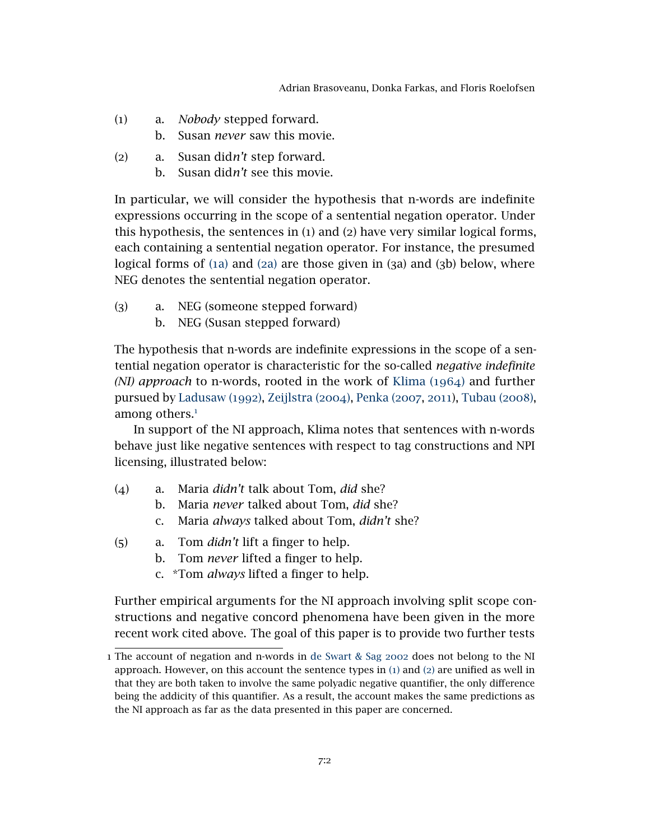Adrian Brasoveanu, Donka Farkas, and Floris Roelofsen

- <span id="page-2-1"></span>(1) a. *Nobody* stepped forward.
	- b. Susan *never* saw this movie.
- <span id="page-2-2"></span><span id="page-2-0"></span>(2) a. Susan did*n't* step forward.
	- b. Susan did*n't* see this movie.

In particular, we will consider the hypothesis that n-words are indefinite expressions occurring in the scope of a sentential negation operator. Under this hypothesis, the sentences in (1) and (2) have very similar logical forms, each containing a sentential negation operator. For instance, the presumed logical forms of (1[a\)](#page-2-1) and (2[a\)](#page-2-2) are those given in (3a) and (3b) below, where NEG denotes the sentential negation operator.

- (3) a. NEG (someone stepped forward)
	- b. NEG (Susan stepped forward)

The hypothesis that n-words are indefinite expressions in the scope of a sentential negation operator is characteristic for the so-called *negative indefinite (NI) approach* to n-words, rooted in the work of [Klima \(](#page-32-1)1964) and further pursued by [Ladusaw \(](#page-32-2)1992), [Zeijlstra \(](#page-33-0)2004), [Penka \(](#page-32-3)2007, [2011](#page-32-4)), [Tubau \(](#page-33-1)2008), among others. $<sup>1</sup>$  $<sup>1</sup>$  $<sup>1</sup>$ </sup>

In support of the NI approach, Klima notes that sentences with n-words behave just like negative sentences with respect to tag constructions and NPI licensing, illustrated below:

- (4) a. Maria *didn't* talk about Tom, *did* she?
	- b. Maria *never* talked about Tom, *did* she?
	- c. Maria *always* talked about Tom, *didn't* she?
- (5) a. Tom *didn't* lift a finger to help.
	- b. Tom *never* lifted a finger to help.
	- c. \*Tom *always* lifted a finger to help.

Further empirical arguments for the NI approach involving split scope constructions and negative concord phenomena have been given in the more recent work cited above. The goal of this paper is to provide two further tests

<span id="page-2-3"></span><sup>1</sup> The account of negation and n-words in [de Swart & Sag](#page-33-2) 2002 does not belong to the NI approach. However, on this account the sentence types in  $(1)$  $(1)$  $(1)$  and  $(2)$  $(2)$  $(2)$  are unified as well in that they are both taken to involve the same polyadic negative quantifier, the only difference being the addicity of this quantifier. As a result, the account makes the same predictions as the NI approach as far as the data presented in this paper are concerned.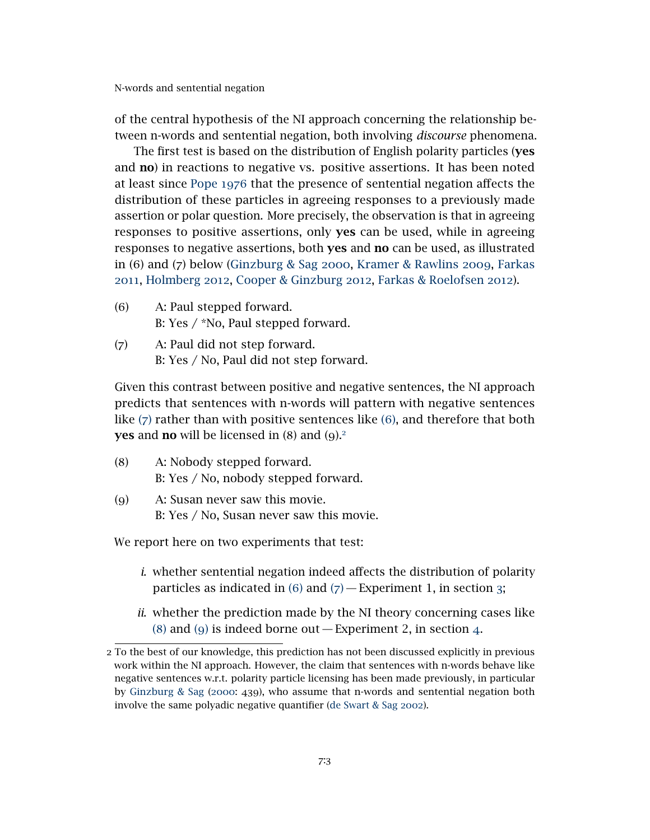of the central hypothesis of the NI approach concerning the relationship between n-words and sentential negation, both involving *discourse* phenomena.

The first test is based on the distribution of English polarity particles (yes and no) in reactions to negative vs. positive assertions. It has been noted at least since [Pope](#page-32-5) 1976 that the presence of sentential negation affects the distribution of these particles in agreeing responses to a previously made assertion or polar question. More precisely, the observation is that in agreeing responses to positive assertions, only **yes** can be used, while in agreeing responses to negative assertions, both yes and no can be used, as illustrated in (6) and (7) below [\(Ginzburg & Sag](#page-32-6) 2000, [Kramer & Rawlins](#page-32-7) 2009, [Farkas](#page-32-8) [2011](#page-32-8), [Holmberg](#page-32-9) 2012, [Cooper & Ginzburg](#page-32-10) 2012, [Farkas & Roelofsen](#page-32-11) 2012).

- <span id="page-3-1"></span>(6) A: Paul stepped forward. B: Yes / \*No, Paul stepped forward.
- <span id="page-3-0"></span>(7) A: Paul did not step forward. B: Yes / No, Paul did not step forward.

Given this contrast between positive and negative sentences, the NI approach predicts that sentences with n-words will pattern with negative sentences like ([7](#page-3-0)) rather than with positive sentences like ([6](#page-3-1)), and therefore that both **yes** and **no** will be licensed in  $(8)$  and  $(9)^2$  $(9)^2$ .

- <span id="page-3-3"></span>(8) A: Nobody stepped forward. B: Yes / No, nobody stepped forward.
- <span id="page-3-4"></span>(9) A: Susan never saw this movie. B: Yes / No, Susan never saw this movie.

We report here on two experiments that test:

- *i*. whether sentential negation indeed affects the distribution of polarity particles as indicated in  $(6)$  $(6)$  $(6)$  and  $(7)$  $(7)$  $(7)$  – Experiment 1, in section [3](#page-5-0);
- *ii*. whether the prediction made by the NI theory concerning cases like ([8](#page-3-3)) and ([9](#page-3-4)) is indeed borne out  $-$  Experiment 2, in section [4](#page-13-0).

<span id="page-3-2"></span><sup>2</sup> To the best of our knowledge, this prediction has not been discussed explicitly in previous work within the NI approach. However, the claim that sentences with n-words behave like negative sentences w.r.t. polarity particle licensing has been made previously, in particular by [Ginzburg & Sag](#page-32-6) ([2000](#page-32-6): 439), who assume that n-words and sentential negation both involve the same polyadic negative quantifier [\(de Swart & Sag](#page-33-2) 2002).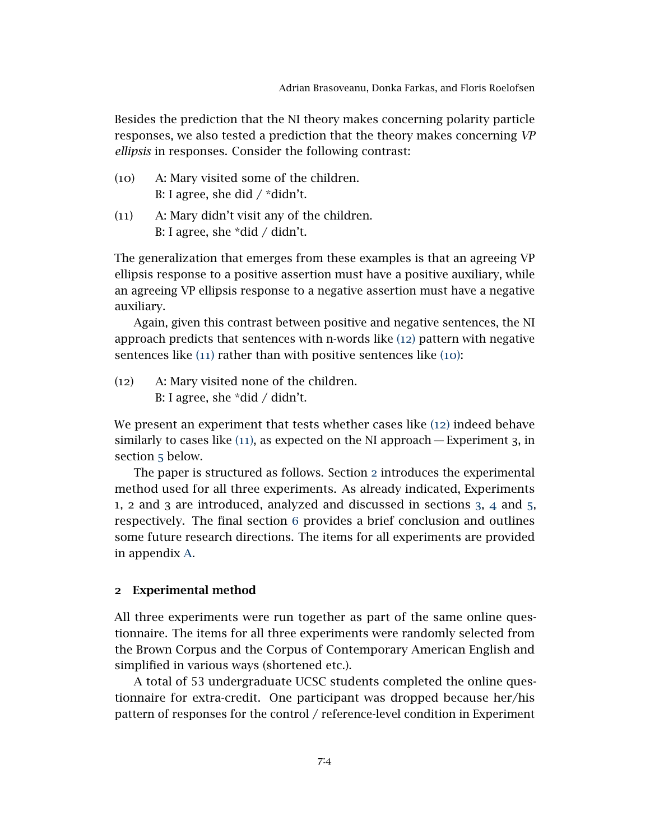Besides the prediction that the NI theory makes concerning polarity particle responses, we also tested a prediction that the theory makes concerning *VP ellipsis* in responses. Consider the following contrast:

- <span id="page-4-2"></span>(10) A: Mary visited some of the children. B: I agree, she did  $/$  \*didn't.
- <span id="page-4-1"></span>(11) A: Mary didn't visit any of the children. B: I agree, she \*did / didn't.

The generalization that emerges from these examples is that an agreeing VP ellipsis response to a positive assertion must have a positive auxiliary, while an agreeing VP ellipsis response to a negative assertion must have a negative auxiliary.

Again, given this contrast between positive and negative sentences, the NI approach predicts that sentences with n-words like ([12](#page-4-0)) pattern with negative sentences like ([11](#page-4-1)) rather than with positive sentences like ([10](#page-4-2)):

<span id="page-4-0"></span>(12) A: Mary visited none of the children. B: I agree, she \*did / didn't.

We present an experiment that tests whether cases like ([12](#page-4-0)) indeed behave similarly to cases like  $(11)$  $(11)$  $(11)$ , as expected on the NI approach — Experiment 3, in section [5](#page-20-0) below.

The paper is structured as follows. Section [2](#page-4-3) introduces the experimental method used for all three experiments. As already indicated, Experiments 1, 2 and 3 are introduced, analyzed and discussed in sections [3](#page-5-0), [4](#page-13-0) and [5](#page-20-0), respectively. The final section [6](#page-24-0) provides a brief conclusion and outlines some future research directions. The items for all experiments are provided in appendix [A.](#page-26-0)

### <span id="page-4-3"></span>2 Experimental method

All three experiments were run together as part of the same online questionnaire. The items for all three experiments were randomly selected from the Brown Corpus and the Corpus of Contemporary American English and simplified in various ways (shortened etc.).

A total of 53 undergraduate UCSC students completed the online questionnaire for extra-credit. One participant was dropped because her/his pattern of responses for the control / reference-level condition in Experiment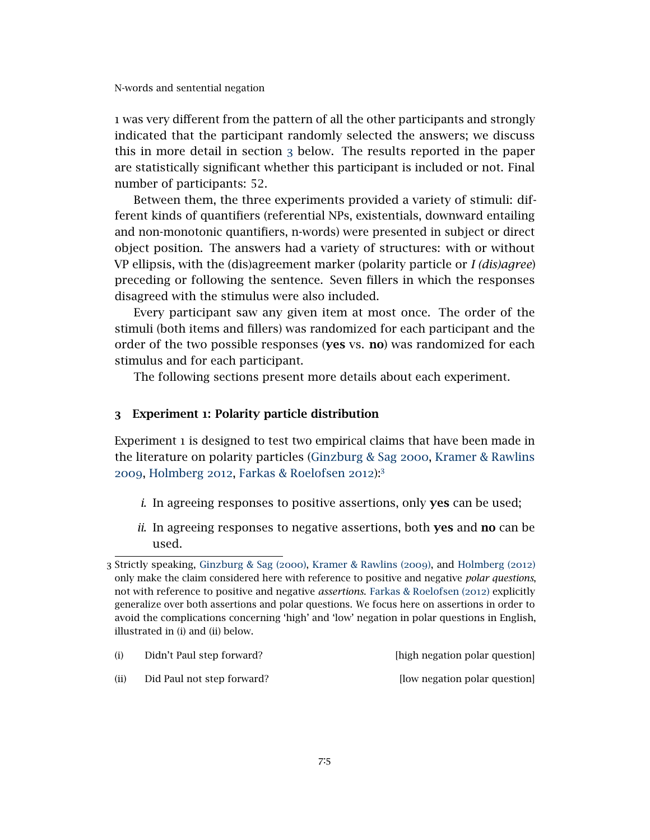1 was very different from the pattern of all the other participants and strongly indicated that the participant randomly selected the answers; we discuss this in more detail in section [3](#page-5-0) below. The results reported in the paper are statistically significant whether this participant is included or not. Final number of participants: 52.

Between them, the three experiments provided a variety of stimuli: different kinds of quantifiers (referential NPs, existentials, downward entailing and non-monotonic quantifiers, n-words) were presented in subject or direct object position. The answers had a variety of structures: with or without VP ellipsis, with the (dis)agreement marker (polarity particle or *I (dis)agree*) preceding or following the sentence. Seven fillers in which the responses disagreed with the stimulus were also included.

Every participant saw any given item at most once. The order of the stimuli (both items and fillers) was randomized for each participant and the order of the two possible responses (yes vs. no) was randomized for each stimulus and for each participant.

The following sections present more details about each experiment.

### <span id="page-5-0"></span>3 Experiment 1: Polarity particle distribution

Experiment 1 is designed to test two empirical claims that have been made in the literature on polarity particles [\(Ginzburg & Sag](#page-32-6) 2000, [Kramer & Rawlins](#page-32-7) [2009](#page-32-7), [Holmberg](#page-32-9) 2012, [Farkas & Roelofsen](#page-32-11) 2012):[3](#page-5-1)

- *i*. In agreeing responses to positive assertions, only yes can be used;
- *ii*. In agreeing responses to negative assertions, both yes and no can be used.

| (i) | Didn't Paul step forward? | [high negation polar question] |  |
|-----|---------------------------|--------------------------------|--|
|     |                           |                                |  |

(ii) Did Paul not step forward? [low negation polar question]

<span id="page-5-1"></span><sup>3</sup> Strictly speaking, [Ginzburg & Sag \(](#page-32-6)2000), [Kramer & Rawlins \(](#page-32-7)2009), and [Holmberg \(](#page-32-9)2012) only make the claim considered here with reference to positive and negative *polar questions*, not with reference to positive and negative *assertions*. [Farkas & Roelofsen \(](#page-32-11)2012) explicitly generalize over both assertions and polar questions. We focus here on assertions in order to avoid the complications concerning 'high' and 'low' negation in polar questions in English, illustrated in (i) and (ii) below.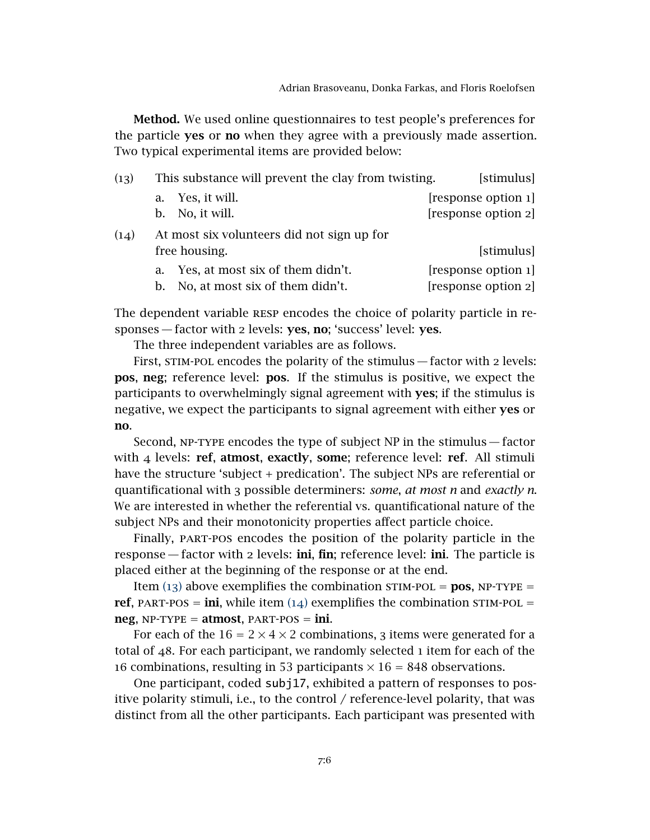Method. We used online questionnaires to test people's preferences for the particle yes or no when they agree with a previously made assertion. Two typical experimental items are provided below:

<span id="page-6-1"></span><span id="page-6-0"></span>

| (13) |           | This substance will prevent the clay from twisting. | [stimulus]          |
|------|-----------|-----------------------------------------------------|---------------------|
|      |           | a. Yes, it will.                                    | [response option 1] |
|      | $b_{\rm}$ | No, it will.                                        | [response option 2] |
| (14) |           | At most six volunteers did not sign up for          |                     |
|      |           | free housing.                                       | [stimulus]          |
|      | a.        | Yes, at most six of them didn't.                    | [response option 1] |
|      | b.        | No, at most six of them didn't.                     | [response option 2] |

The dependent variable RESP encodes the choice of polarity particle in responses — factor with 2 levels: yes, no; 'success' level: yes.

The three independent variables are as follows.

First, STIM-POL encodes the polarity of the stimulus - factor with 2 levels: pos, neg; reference level: pos. If the stimulus is positive, we expect the participants to overwhelmingly signal agreement with yes; if the stimulus is negative, we expect the participants to signal agreement with either yes or no.

Second, np-type encodes the type of subject NP in the stimulus— factor with  $4$  levels: ref, atmost, exactly, some; reference level: ref. All stimuli have the structure 'subject + predication'. The subject NPs are referential or quantificational with 3 possible determiners: *some*, *at most n* and *exactly n*. We are interested in whether the referential vs. quantificational nature of the subject NPs and their monotonicity properties affect particle choice.

Finally, part-pos encodes the position of the polarity particle in the response — factor with 2 levels: ini, fin; reference level: ini. The particle is placed either at the beginning of the response or at the end.

Item ([13](#page-6-0)) above exemplifies the combination stim-pol = **pos**,  $NP-TYPE =$ ref, PART-POS = ini, while item  $(14)$  $(14)$  $(14)$  exemplifies the combination STIM-POL =  $neg$ ,  $NP-TYPE = \text{atmost}$ ,  $PART-POS = \text{ini}$ .

For each of the  $16 = 2 \times 4 \times 2$  combinations, 3 items were generated for a total of 48. For each participant, we randomly selected 1 item for each of the 16 combinations, resulting in 53 participants  $\times$  16 = 848 observations.

One participant, coded subj17, exhibited a pattern of responses to positive polarity stimuli, i.e., to the control / reference-level polarity, that was distinct from all the other participants. Each participant was presented with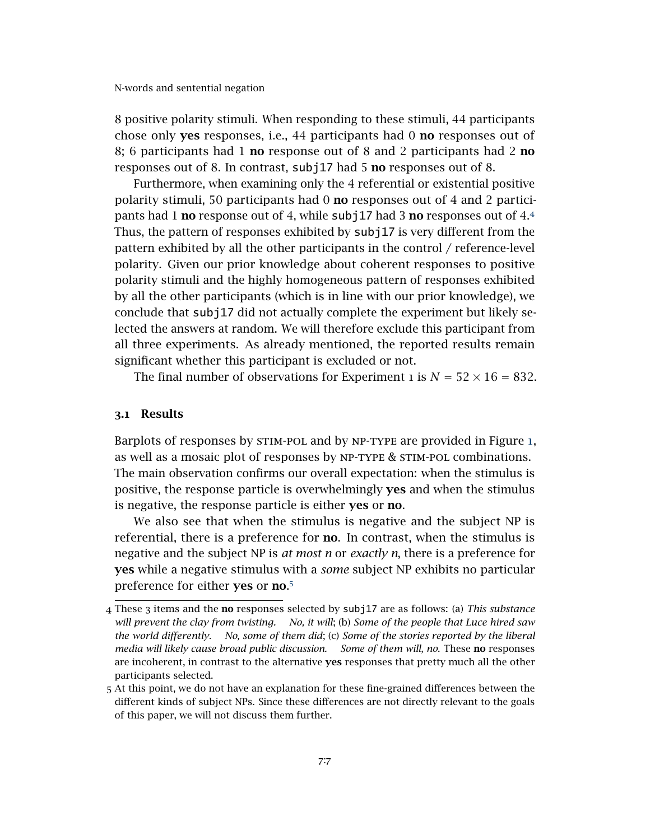8 positive polarity stimuli. When responding to these stimuli, 44 participants chose only yes responses, i.e., 44 participants had 0 no responses out of 8; 6 participants had 1 no response out of 8 and 2 participants had 2 no responses out of 8. In contrast, subj17 had 5 **no** responses out of 8.

Furthermore, when examining only the 4 referential or existential positive polarity stimuli, 50 participants had 0 no responses out of 4 and 2 participants had 1 **no** response out of [4](#page-7-0), while subj17 had 3 **no** responses out of 4.4 Thus, the pattern of responses exhibited by subj17 is very different from the pattern exhibited by all the other participants in the control / reference-level polarity. Given our prior knowledge about coherent responses to positive polarity stimuli and the highly homogeneous pattern of responses exhibited by all the other participants (which is in line with our prior knowledge), we conclude that subj17 did not actually complete the experiment but likely selected the answers at random. We will therefore exclude this participant from all three experiments. As already mentioned, the reported results remain significant whether this participant is excluded or not.

The final number of observations for Experiment 1 is  $N = 52 \times 16 = 832$ .

### 3.1 Results

Barplots of responses by stim-pol and by np-type are provided in Figure [1](#page-8-0), as well as a mosaic plot of responses by np-type & stim-pol combinations. The main observation confirms our overall expectation: when the stimulus is positive, the response particle is overwhelmingly yes and when the stimulus is negative, the response particle is either yes or no.

We also see that when the stimulus is negative and the subject NP is referential, there is a preference for no. In contrast, when the stimulus is negative and the subject NP is *at most n* or *exactly n*, there is a preference for yes while a negative stimulus with a *some* subject NP exhibits no particular preference for either yes or no.<sup>[5](#page-7-1)</sup>

<span id="page-7-0"></span><sup>4</sup> These 3 items and the no responses selected by subj17 are as follows: (a) *This substance will prevent the clay from twisting. No, it will*; (b) *Some of the people that Luce hired saw the world differently. No, some of them did*; (c) *Some of the stories reported by the liberal media will likely cause broad public discussion. Some of them will, no*. These no responses are incoherent, in contrast to the alternative yes responses that pretty much all the other participants selected.

<span id="page-7-1"></span><sup>5</sup> At this point, we do not have an explanation for these fine-grained differences between the different kinds of subject NPs. Since these differences are not directly relevant to the goals of this paper, we will not discuss them further.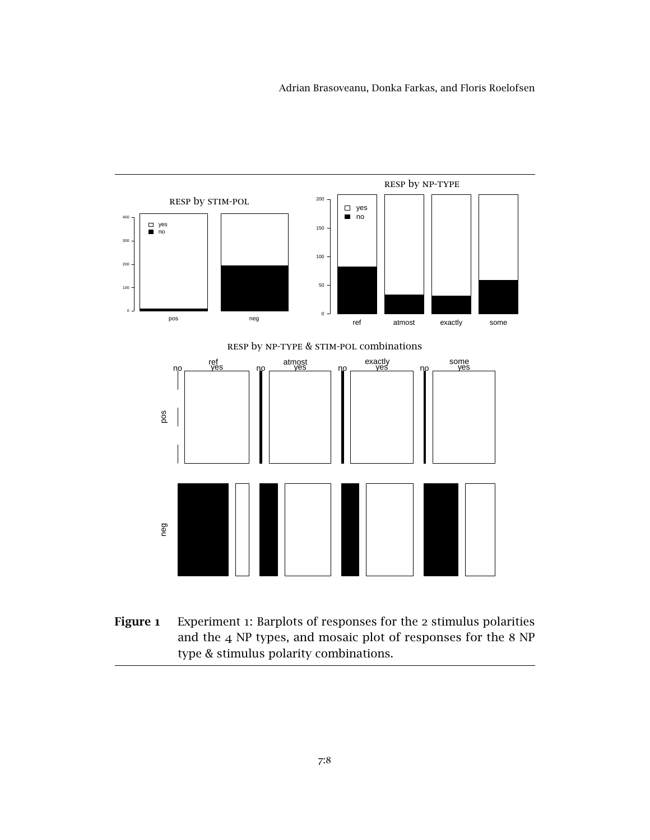<span id="page-8-0"></span>

Figure 1 Experiment 1: Barplots of responses for the 2 stimulus polarities and the 4 NP types, and mosaic plot of responses for the 8 NP type & stimulus polarity combinations.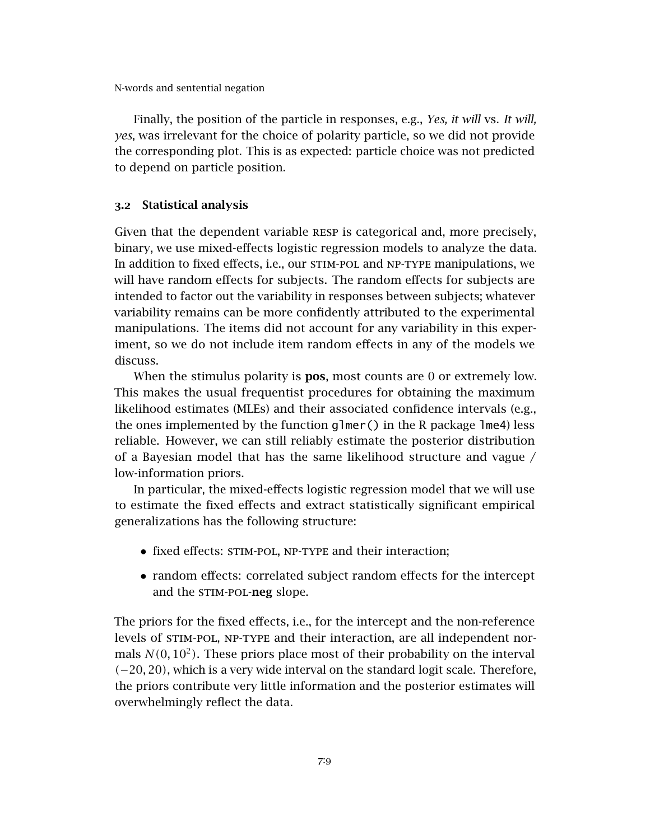Finally, the position of the particle in responses, e.g., *Yes, it will* vs. *It will, yes*, was irrelevant for the choice of polarity particle, so we did not provide the corresponding plot. This is as expected: particle choice was not predicted to depend on particle position.

### 3.2 Statistical analysis

Given that the dependent variable resp is categorical and, more precisely, binary, we use mixed-effects logistic regression models to analyze the data. In addition to fixed effects, i.e., our stim-pol and np-type manipulations, we will have random effects for subjects. The random effects for subjects are intended to factor out the variability in responses between subjects; whatever variability remains can be more confidently attributed to the experimental manipulations. The items did not account for any variability in this experiment, so we do not include item random effects in any of the models we discuss.

When the stimulus polarity is **pos**, most counts are 0 or extremely low. This makes the usual frequentist procedures for obtaining the maximum likelihood estimates (MLEs) and their associated confidence intervals (e.g., the ones implemented by the function  $g1mer()$  in the R package  $1me4$ ) less reliable. However, we can still reliably estimate the posterior distribution of a Bayesian model that has the same likelihood structure and vague / low-information priors.

In particular, the mixed-effects logistic regression model that we will use to estimate the fixed effects and extract statistically significant empirical generalizations has the following structure:

- fixed effects: STIM-POL, NP-TYPE and their interaction;
- random effects: correlated subject random effects for the intercept and the STIM-POL-neg slope.

The priors for the fixed effects, i.e., for the intercept and the non-reference levels of STIM-POL, NP-TYPE and their interaction, are all independent normals  $N(0, 10^2)$ . These priors place most of their probability on the interval *(*−20*,* 20*)*, which is a very wide interval on the standard logit scale. Therefore, the priors contribute very little information and the posterior estimates will overwhelmingly reflect the data.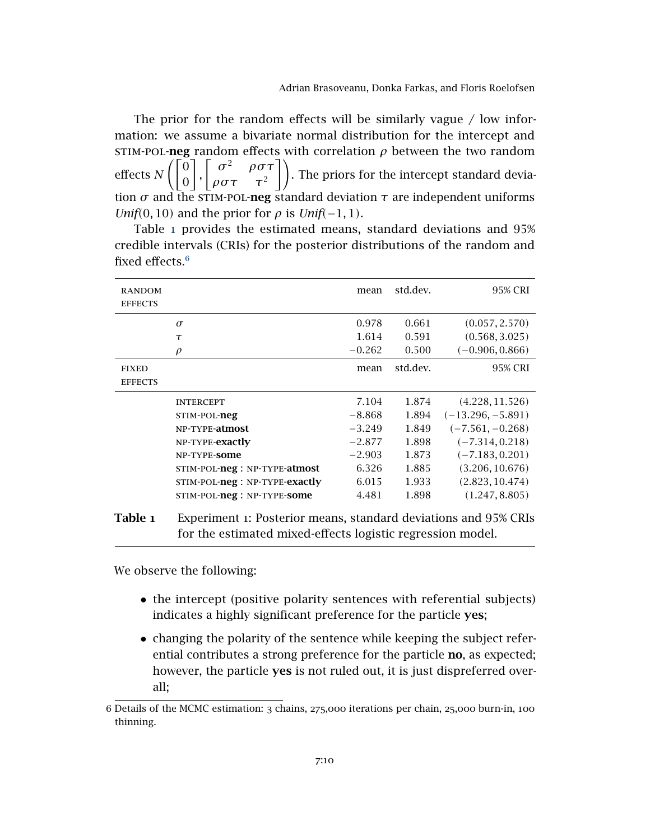The prior for the random effects will be similarly vague  $\ell$  low information: we assume a bivariate normal distribution for the intercept and STIM-POL-neg random effects with correlation  $\rho$  between the two random effects *N*  $\sqrt{0}$  $\begin{matrix} 0 \\ 0 \end{matrix}$  $\Gamma$  $\sigma^2$  $\rho \sigma \tau$  $\rho \sigma \tau \quad \tau^2$ | ). The priors for the intercept standard deviation  $\sigma$  and the STIM-POL-neg standard deviation  $\tau$  are independent uniforms *Unif*(0*,* 10*)* and the prior for  $\rho$  is *Unif*(−1*,* 1*)*.

Table [1](#page-10-0) provides the estimated means, standard deviations and 95% credible intervals (CRIs) for the posterior distributions of the random and fixed effects.[6](#page-10-1)

<span id="page-10-0"></span>

| <b>RANDOM</b><br><b>EFFECTS</b> |                                                                 | mean     | std.dev. | 95% CRI             |
|---------------------------------|-----------------------------------------------------------------|----------|----------|---------------------|
|                                 | $\sigma$                                                        | 0.978    | 0.661    | (0.057, 2.570)      |
|                                 | $\tau$                                                          | 1.614    | 0.591    | (0.568, 3.025)      |
|                                 | $\rho$                                                          | $-0.262$ | 0.500    | $(-0.906, 0.866)$   |
| <b>FIXED</b><br><b>EFFECTS</b>  |                                                                 | mean     | std.dev. | 95% CRI             |
|                                 | <b>INTERCEPT</b>                                                | 7.104    | 1.874    | (4.228, 11.526)     |
|                                 | STIM-POL-neg                                                    | $-8.868$ | 1.894    | $(-13.296, -5.891)$ |
|                                 | NP-TYPE-atmost                                                  | $-3.249$ | 1.849    | $(-7.561, -0.268)$  |
|                                 | NP-TYPE-exactly                                                 | $-2.877$ | 1.898    | $(-7.314, 0.218)$   |
|                                 | NP-TYPE-SOMe                                                    | $-2.903$ | 1.873    | $(-7.183, 0.201)$   |
|                                 | STIM-POL-neg: NP-TYPE-atmost                                    | 6.326    | 1.885    | (3.206, 10.676)     |
|                                 | STIM-POL-neg: NP-TYPE-exactly                                   | 6.015    | 1.933    | (2.823, 10.474)     |
|                                 | STIM-POL-neg: NP-TYPE-some                                      | 4.481    | 1.898    | (1.247, 8.805)      |
| Table 1                         | Experiment 1: Posterior means, standard deviations and 95% CRIs |          |          |                     |

We observe the following:

• the intercept (positive polarity sentences with referential subjects) indicates a highly significant preference for the particle yes;

for the estimated mixed-effects logistic regression model.

• changing the polarity of the sentence while keeping the subject referential contributes a strong preference for the particle **no**, as expected; however, the particle yes is not ruled out, it is just dispreferred overall;

<span id="page-10-1"></span><sup>6</sup> Details of the MCMC estimation: 3 chains, 275,000 iterations per chain, 25,000 burn-in, 100 thinning.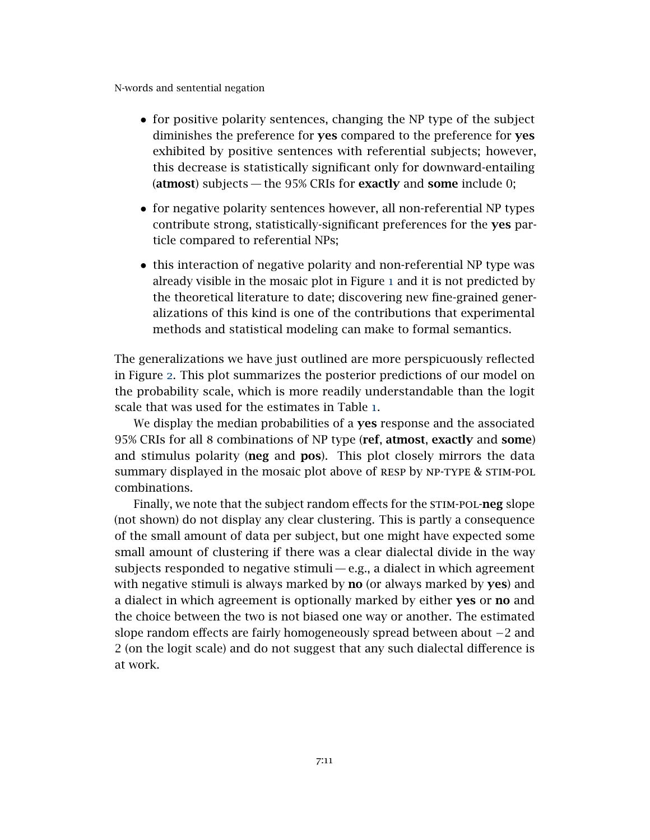- for positive polarity sentences, changing the NP type of the subject diminishes the preference for **yes** compared to the preference for **yes** exhibited by positive sentences with referential subjects; however, this decrease is statistically significant only for downward-entailing (atmost) subjects — the 95% CRIs for exactly and some include 0;
- for negative polarity sentences however, all non-referential NP types contribute strong, statistically-significant preferences for the yes particle compared to referential NPs;
- this interaction of negative polarity and non-referential NP type was already visible in the mosaic plot in Figure [1](#page-8-0) and it is not predicted by the theoretical literature to date; discovering new fine-grained generalizations of this kind is one of the contributions that experimental methods and statistical modeling can make to formal semantics.

The generalizations we have just outlined are more perspicuously reflected in Figure [2](#page-12-0). This plot summarizes the posterior predictions of our model on the probability scale, which is more readily understandable than the logit scale that was used for the estimates in Table [1](#page-10-0).

We display the median probabilities of a **yes** response and the associated 95% CRIs for all 8 combinations of NP type (ref, atmost, exactly and some) and stimulus polarity (neg and pos). This plot closely mirrors the data summary displayed in the mosaic plot above of RESP by NP-TYPE & STIM-POL combinations.

Finally, we note that the subject random effects for the STIM-POL-neg slope (not shown) do not display any clear clustering. This is partly a consequence of the small amount of data per subject, but one might have expected some small amount of clustering if there was a clear dialectal divide in the way subjects responded to negative stimuli— e.g., a dialect in which agreement with negative stimuli is always marked by **no** (or always marked by **yes**) and a dialect in which agreement is optionally marked by either yes or no and the choice between the two is not biased one way or another. The estimated slope random effects are fairly homogeneously spread between about −2 and 2 (on the logit scale) and do not suggest that any such dialectal difference is at work.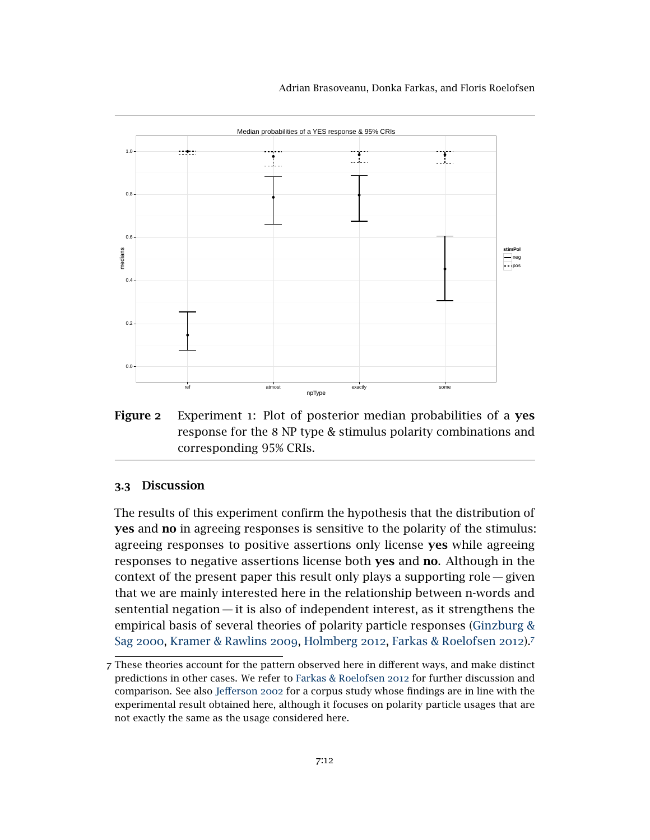Adrian Brasoveanu, Donka Farkas, and Floris Roelofsen

<span id="page-12-0"></span>

Figure 2 Experiment 1: Plot of posterior median probabilities of a yes response for the 8 NP type & stimulus polarity combinations and corresponding 95% CRIs.

### 3.3 Discussion

The results of this experiment confirm the hypothesis that the distribution of yes and no in agreeing responses is sensitive to the polarity of the stimulus: agreeing responses to positive assertions only license yes while agreeing responses to negative assertions license both yes and no. Although in the context of the present paper this result only plays a supporting role — given that we are mainly interested here in the relationship between n-words and sentential negation — it is also of independent interest, as it strengthens the empirical basis of several theories of polarity particle responses [\(Ginzburg &](#page-32-6) Sag [2000](#page-32-6), [Kramer & Rawlins](#page-32-7) 2009, [Holmberg](#page-32-9) 2012, [Farkas & Roelofsen](#page-32-11) 2012).[7](#page-12-1)

<span id="page-12-1"></span><sup>7</sup> These theories account for the pattern observed here in different ways, and make distinct predictions in other cases. We refer to [Farkas & Roelofsen](#page-32-11) 2012 for further discussion and comparison. See also [Jefferson](#page-32-12) 2002 for a corpus study whose findings are in line with the experimental result obtained here, although it focuses on polarity particle usages that are not exactly the same as the usage considered here.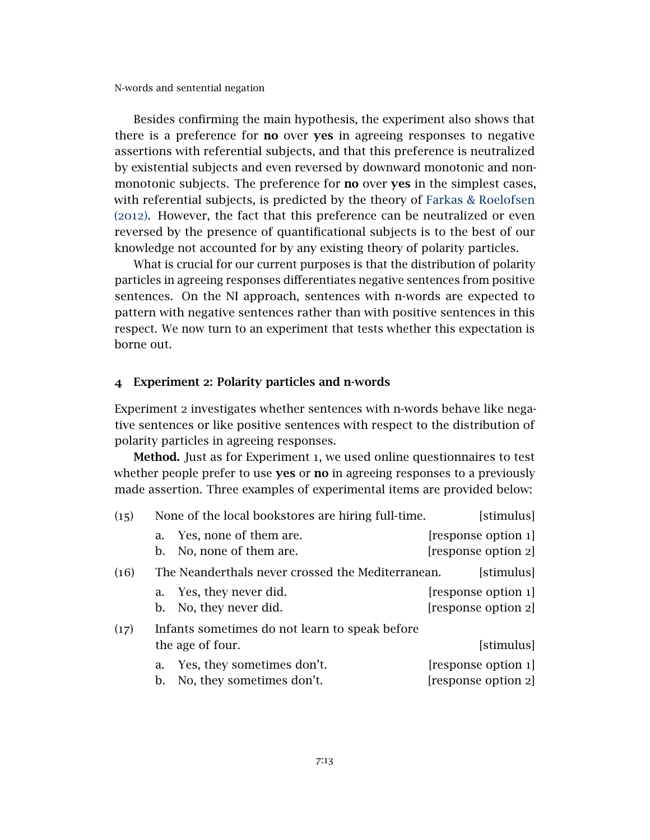Besides confirming the main hypothesis, the experiment also shows that there is a preference for no over yes in agreeing responses to negative assertions with referential subjects, and that this preference is neutralized by existential subjects and even reversed by downward monotonic and nonmonotonic subjects. The preference for **no** over yes in the simplest cases, with referential subjects, is predicted by the theory of [Farkas & Roelofsen](#page-32-11) ([2012](#page-32-11)). However, the fact that this preference can be neutralized or even reversed by the presence of quantificational subjects is to the best of our knowledge not accounted for by any existing theory of polarity particles.

What is crucial for our current purposes is that the distribution of polarity particles in agreeing responses differentiates negative sentences from positive sentences. On the NI approach, sentences with n-words are expected to pattern with negative sentences rather than with positive sentences in this respect. We now turn to an experiment that tests whether this expectation is borne out.

### <span id="page-13-0"></span>4 Experiment 2: Polarity particles and n-words

Experiment 2 investigates whether sentences with n-words behave like negative sentences or like positive sentences with respect to the distribution of polarity particles in agreeing responses.

Method. Just as for Experiment 1, we used online questionnaires to test whether people prefer to use yes or no in agreeing responses to a previously made assertion. Three examples of experimental items are provided below:

<span id="page-13-3"></span><span id="page-13-2"></span><span id="page-13-1"></span>

| (15) |          | None of the local bookstores are hiring full-time. | [stimulus]                                 |
|------|----------|----------------------------------------------------|--------------------------------------------|
|      | a.<br>b. | Yes, none of them are.<br>No, none of them are.    | [response option 1]<br>[response option 2] |
| (16) |          | The Neanderthals never crossed the Mediterranean.  | [stimulus]                                 |
|      |          | a. Yes, they never did.                            | [response option 1]                        |
|      | b.       | No, they never did.                                | [response option 2]                        |
| (17) |          | Infants sometimes do not learn to speak before     |                                            |
|      |          | the age of four.                                   | [stimulus]                                 |
|      | a.       | Yes, they sometimes don't.                         | [response option 1]                        |
|      | b.       | No, they sometimes don't.                          | [response option 2]                        |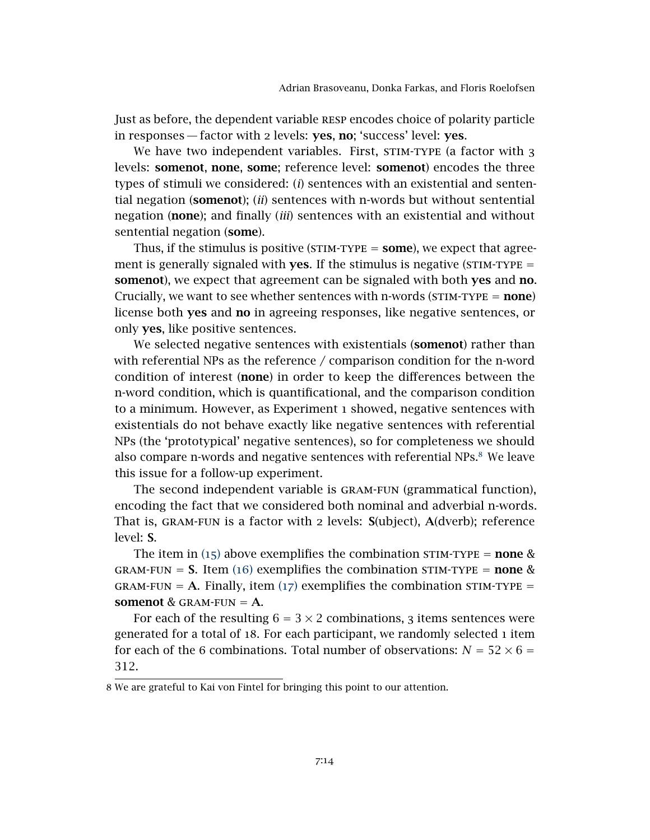Just as before, the dependent variable resp encodes choice of polarity particle in responses — factor with 2 levels: yes, no; 'success' level: yes.

We have two independent variables. First, STIM-TYPE (a factor with 3 levels: somenot, none, some; reference level: somenot) encodes the three types of stimuli we considered: (*i*) sentences with an existential and sentential negation (somenot); (*ii*) sentences with n-words but without sentential negation (none); and finally (*iii*) sentences with an existential and without sentential negation (some).

Thus, if the stimulus is positive ( $STIM-TYPE = **some**$ ), we expect that agreement is generally signaled with **yes**. If the stimulus is negative ( $STIM-TYPE =$ somenot), we expect that agreement can be signaled with both yes and no. Crucially, we want to see whether sentences with n-words ( $STIM-TYPE = none$ ) license both yes and no in agreeing responses, like negative sentences, or only yes, like positive sentences.

We selected negative sentences with existentials (somenot) rather than with referential NPs as the reference / comparison condition for the n-word condition of interest (none) in order to keep the differences between the n-word condition, which is quantificational, and the comparison condition to a minimum. However, as Experiment 1 showed, negative sentences with existentials do not behave exactly like negative sentences with referential NPs (the 'prototypical' negative sentences), so for completeness we should also compare n-words and negative sentences with referential NPs.<sup>[8](#page-14-0)</sup> We leave this issue for a follow-up experiment.

The second independent variable is gram-fun (grammatical function), encoding the fact that we considered both nominal and adverbial n-words. That is, gram-fun is a factor with 2 levels: S(ubject), A(dverb); reference level: S.

The item in ([15](#page-13-1)) above exemplifies the combination STIM-TYPE = **none** & GRAM-FUN = **S.** Item ([16](#page-13-2)) exemplifies the combination STIM-TYPE = **none** &  $GRAM-FUN = A. Finally, item (17) exemplifies the combination STIM-TYPE =$  $GRAM-FUN = A. Finally, item (17) exemplifies the combination STIM-TYPE =$  $GRAM-FUN = A. Finally, item (17) exemplifies the combination STIM-TYPE =$ somenot & GRAM-FUN  $=$  A.

For each of the resulting  $6 = 3 \times 2$  combinations, 3 items sentences were generated for a total of 18. For each participant, we randomly selected 1 item for each of the 6 combinations. Total number of observations:  $N = 52 \times 6 =$ 312.

<span id="page-14-0"></span><sup>8</sup> We are grateful to Kai von Fintel for bringing this point to our attention.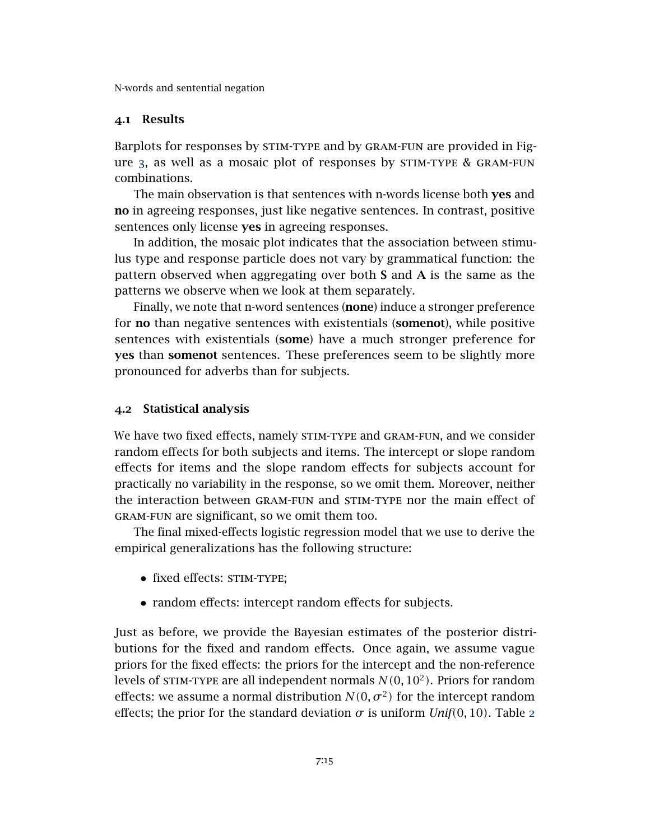### 4.1 Results

Barplots for responses by STIM-TYPE and by GRAM-FUN are provided in Figure [3](#page-16-0), as well as a mosaic plot of responses by stim-type & gram-fun combinations.

The main observation is that sentences with n-words license both yes and no in agreeing responses, just like negative sentences. In contrast, positive sentences only license yes in agreeing responses.

In addition, the mosaic plot indicates that the association between stimulus type and response particle does not vary by grammatical function: the pattern observed when aggregating over both S and A is the same as the patterns we observe when we look at them separately.

Finally, we note that n-word sentences (**none**) induce a stronger preference for no than negative sentences with existentials (somenot), while positive sentences with existentials (some) have a much stronger preference for yes than somenot sentences. These preferences seem to be slightly more pronounced for adverbs than for subjects.

### 4.2 Statistical analysis

We have two fixed effects, namely STIM-TYPE and GRAM-FUN, and we consider random effects for both subjects and items. The intercept or slope random effects for items and the slope random effects for subjects account for practically no variability in the response, so we omit them. Moreover, neither the interaction between gram-fun and stim-type nor the main effect of gram-fun are significant, so we omit them too.

The final mixed-effects logistic regression model that we use to derive the empirical generalizations has the following structure:

- fixed effects: STIM-TYPE;
- random effects: intercept random effects for subjects.

Just as before, we provide the Bayesian estimates of the posterior distributions for the fixed and random effects. Once again, we assume vague priors for the fixed effects: the priors for the intercept and the non-reference levels of stim-type are all independent normals *N(*0*,* 10<sup>2</sup> *)*. Priors for random effects: we assume a normal distribution  $N(0, \sigma^2)$  for the intercept random effects; the prior for the standard deviation  $\sigma$  is uniform *Unif*(0, 10). Table [2](#page-17-0)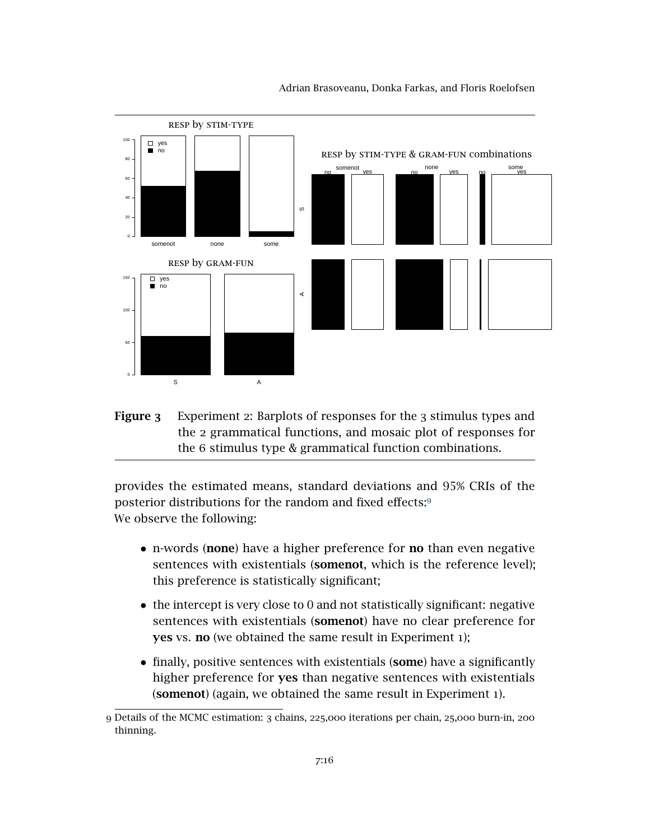<span id="page-16-0"></span>

Adrian Brasoveanu, Donka Farkas, and Floris Roelofsen

Figure 3 Experiment 2: Barplots of responses for the 3 stimulus types and the 2 grammatical functions, and mosaic plot of responses for the 6 stimulus type & grammatical function combinations.

provides the estimated means, standard deviations and 95% CRIs of the posterior distributions for the random and fixed effects:[9](#page-16-1) We observe the following:

- n-words (none) have a higher preference for no than even negative sentences with existentials (somenot, which is the reference level); this preference is statistically significant;
- the intercept is very close to 0 and not statistically significant: negative sentences with existentials (somenot) have no clear preference for yes vs. no (we obtained the same result in Experiment 1);
- finally, positive sentences with existentials (some) have a significantly higher preference for yes than negative sentences with existentials (somenot) (again, we obtained the same result in Experiment 1).

<span id="page-16-1"></span><sup>9</sup> Details of the MCMC estimation: 3 chains, 225,000 iterations per chain, 25,000 burn-in, 200 thinning.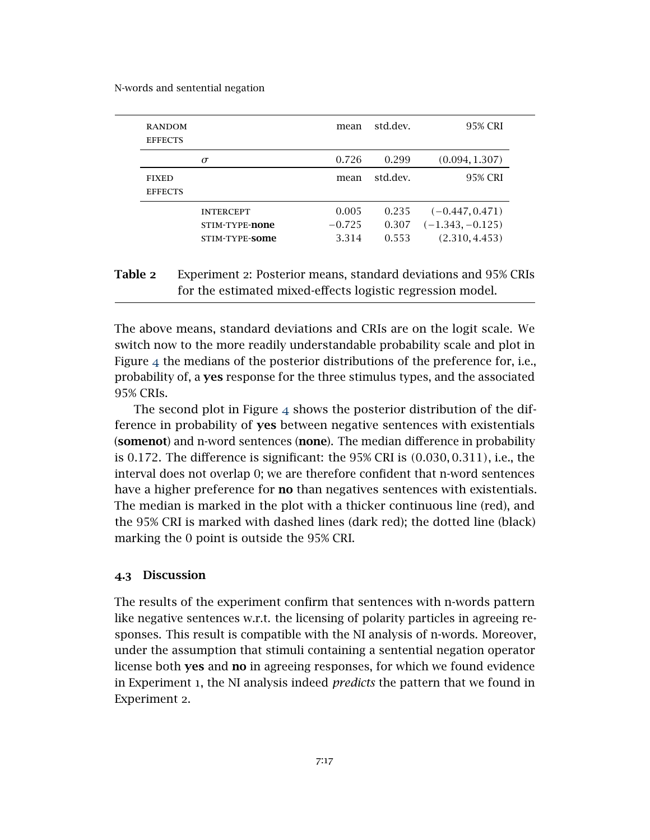<span id="page-17-0"></span>

| <b>RANDOM</b><br><b>EFFECTS</b> |                                                      | mean                       | std.dev.                | 95% CRI                                                   |
|---------------------------------|------------------------------------------------------|----------------------------|-------------------------|-----------------------------------------------------------|
|                                 | σ                                                    | 0.726                      | 0.299                   | (0.094, 1.307)                                            |
| <b>FIXED</b><br><b>EFFECTS</b>  |                                                      | mean                       | std.dev.                | 95% CRI                                                   |
|                                 | <b>INTERCEPT</b><br>STIM-TYPE-none<br>STIM-TYPE-SOME | 0.005<br>$-0.725$<br>3.314 | 0.235<br>0.307<br>0.553 | $(-0.447, 0.471)$<br>$(-1.343, -0.125)$<br>(2.310, 4.453) |

# Table 2 Experiment 2: Posterior means, standard deviations and 95% CRIs for the estimated mixed-effects logistic regression model.

The above means, standard deviations and CRIs are on the logit scale. We switch now to the more readily understandable probability scale and plot in Figure [4](#page-18-0) the medians of the posterior distributions of the preference for, i.e., probability of, a yes response for the three stimulus types, and the associated 95% CRIs.

The second plot in Figure  $4$  shows the posterior distribution of the difference in probability of yes between negative sentences with existentials (somenot) and n-word sentences (none). The median difference in probability is 0*.*172. The difference is significant: the 95% CRI is *(*0*.*030*,* 0*.*311*)*, i.e., the interval does not overlap 0; we are therefore confident that n-word sentences have a higher preference for no than negatives sentences with existentials. The median is marked in the plot with a thicker continuous line (red), and the 95% CRI is marked with dashed lines (dark red); the dotted line (black) marking the 0 point is outside the 95% CRI.

### 4.3 Discussion

The results of the experiment confirm that sentences with n-words pattern like negative sentences w.r.t. the licensing of polarity particles in agreeing responses. This result is compatible with the NI analysis of n-words. Moreover, under the assumption that stimuli containing a sentential negation operator license both yes and no in agreeing responses, for which we found evidence in Experiment 1, the NI analysis indeed *predicts* the pattern that we found in Experiment 2.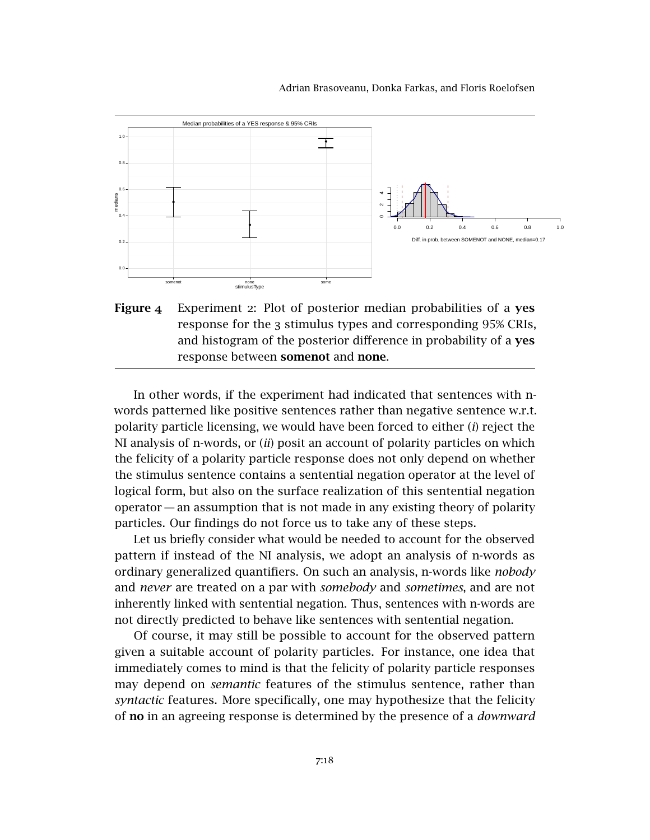<span id="page-18-0"></span>

Adrian Brasoveanu, Donka Farkas, and Floris Roelofsen

Figure 4 Experiment 2: Plot of posterior median probabilities of a yes response for the 3 stimulus types and corresponding 95% CRIs, and histogram of the posterior difference in probability of a yes response between **somenot** and **none**.

In other words, if the experiment had indicated that sentences with nwords patterned like positive sentences rather than negative sentence w.r.t. polarity particle licensing, we would have been forced to either (*i*) reject the NI analysis of n-words, or (*ii*) posit an account of polarity particles on which the felicity of a polarity particle response does not only depend on whether the stimulus sentence contains a sentential negation operator at the level of logical form, but also on the surface realization of this sentential negation operator — an assumption that is not made in any existing theory of polarity particles. Our findings do not force us to take any of these steps.

Let us briefly consider what would be needed to account for the observed pattern if instead of the NI analysis, we adopt an analysis of n-words as ordinary generalized quantifiers. On such an analysis, n-words like *nobody* and *never* are treated on a par with *somebody* and *sometimes*, and are not inherently linked with sentential negation. Thus, sentences with n-words are not directly predicted to behave like sentences with sentential negation.

Of course, it may still be possible to account for the observed pattern given a suitable account of polarity particles. For instance, one idea that immediately comes to mind is that the felicity of polarity particle responses may depend on *semantic* features of the stimulus sentence, rather than *syntactic* features. More specifically, one may hypothesize that the felicity of no in an agreeing response is determined by the presence of a *downward*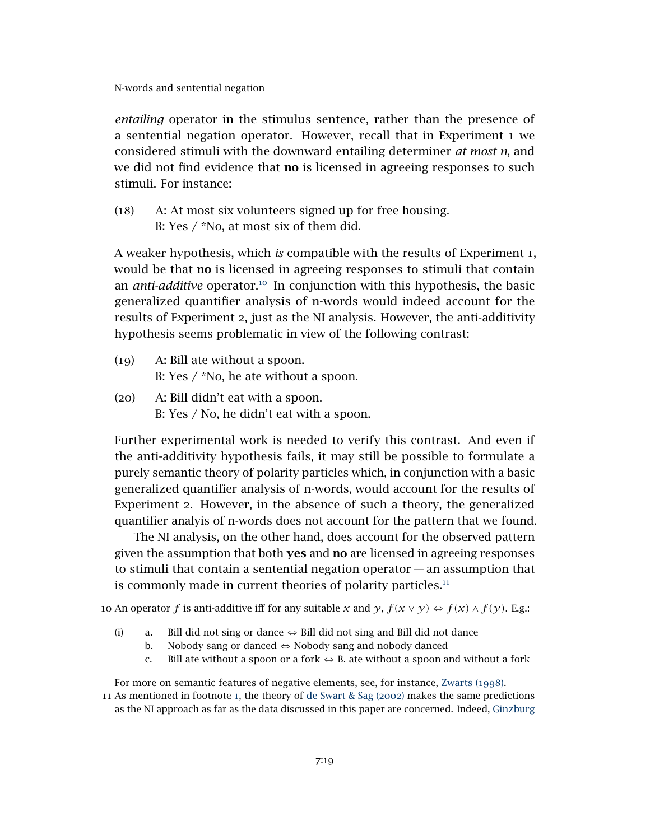*entailing* operator in the stimulus sentence, rather than the presence of a sentential negation operator. However, recall that in Experiment 1 we considered stimuli with the downward entailing determiner *at most n*, and we did not find evidence that **no** is licensed in agreeing responses to such stimuli. For instance:

(18) A: At most six volunteers signed up for free housing. B: Yes / \*No, at most six of them did.

A weaker hypothesis, which *is* compatible with the results of Experiment 1, would be that no is licensed in agreeing responses to stimuli that contain an *anti-additive* operator.<sup>[10](#page-19-0)</sup> In conjunction with this hypothesis, the basic generalized quantifier analysis of n-words would indeed account for the results of Experiment 2, just as the NI analysis. However, the anti-additivity hypothesis seems problematic in view of the following contrast:

- (19) A: Bill ate without a spoon. B: Yes / \*No, he ate without a spoon.
- (20) A: Bill didn't eat with a spoon. B: Yes / No, he didn't eat with a spoon.

Further experimental work is needed to verify this contrast. And even if the anti-additivity hypothesis fails, it may still be possible to formulate a purely semantic theory of polarity particles which, in conjunction with a basic generalized quantifier analysis of n-words, would account for the results of Experiment 2. However, in the absence of such a theory, the generalized quantifier analyis of n-words does not account for the pattern that we found.

The NI analysis, on the other hand, does account for the observed pattern given the assumption that both **yes** and **no** are licensed in agreeing responses to stimuli that contain a sentential negation operator— an assumption that is commonly made in current theories of polarity particles. $11$ 

- b. Nobody sang or danced  $\Leftrightarrow$  Nobody sang and nobody danced
- c. Bill ate without a spoon or a fork  $\Leftrightarrow$  B. ate without a spoon and without a fork

<span id="page-19-0"></span><sup>10</sup> An operator *f* is anti-additive iff for any suitable *x* and  $\gamma$ ,  $f(x \vee \gamma) \Leftrightarrow f(x) \wedge f(\gamma)$ . E.g.:

<sup>(</sup>i) a. Bill did not sing or dance  $\Leftrightarrow$  Bill did not sing and Bill did not dance

<span id="page-19-1"></span>For more on semantic features of negative elements, see, for instance, [Zwarts \(](#page-33-3)1998).

<sup>11</sup> As mentioned in footnote [1](#page-2-3), the theory of [de Swart & Sag \(](#page-33-2)2002) makes the same predictions as the NI approach as far as the data discussed in this paper are concerned. Indeed, [Ginzburg](#page-32-6)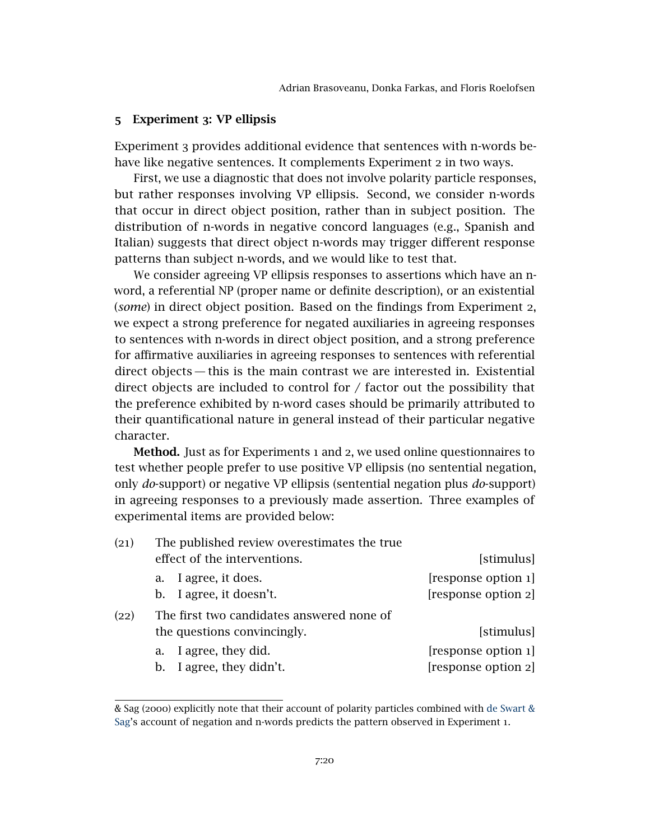### <span id="page-20-0"></span>5 Experiment 3[: VP ellipsis](#page-32-6)

Experiment 3 [provides additional evidence that sentences with n-words be](#page-32-6)[have like negative sentences. It complements Experiment](#page-32-6) 2 in two ways.

[First, we use a diagnostic that does not involve polarity particle responses,](#page-32-6) [but rather responses involving VP ellipsis. Second, we consider n-words](#page-32-6) [that occur in direct object position, rather than in subject position. The](#page-32-6) [distribution of n-words in negative concord languages \(e.g., Spanish and](#page-32-6) [Italian\) suggests that direct object n-words may trigger different response](#page-32-6) [patterns than subject n-words, and we would like to test that.](#page-32-6)

[We consider agreeing VP ellipsis responses to assertions which have an n](#page-32-6)[word, a referential NP \(proper name or definite description\), or an existential](#page-32-6) (*some*[\) in direct object position. Based on the findings from Experiment](#page-32-6) 2, [we expect a strong preference for negated auxiliaries in agreeing responses](#page-32-6) [to sentences with n-words in direct object position, and a strong preference](#page-32-6) [for affirmative auxiliaries in agreeing responses to sentences with referential](#page-32-6) [direct objects— this is the main contrast we are interested in. Existential](#page-32-6) direct objects are included to control for  $/$  factor out the possibility that [the preference exhibited by n-word cases should be primarily attributed to](#page-32-6) [their quantificational nature in general instead of their particular negative](#page-32-6) [character.](#page-32-6)

Method. Just as for Experiments 1 and 2[, we used online questionnaires to](#page-32-6) [test whether people prefer to use positive VP ellipsis \(no sentential negation,](#page-32-6) only *do*[-support\) or negative VP ellipsis \(sentential negation plus](#page-32-6) *do*-support) [in agreeing responses to a previously made assertion. Three examples of](#page-32-6) [experimental items are provided below:](#page-32-6)

<span id="page-20-2"></span><span id="page-20-1"></span>

| The published review overestimates the true<br>(21) |                     |
|-----------------------------------------------------|---------------------|
| effect of the interventions.                        | [stimulus]          |
| a. I agree, it does.                                | [response option 1] |
| b. I agree, it doesn't.                             | [response option 2] |
| The first two candidates answered none of<br>(22)   |                     |
| the questions convincingly.                         | [stimulus]          |
| a. I agree, they did.                               | [response option 1] |
| b. I agree, they didn't.                            | [response option 2] |

[<sup>&</sup>amp; Sag \(](#page-32-6)2000) explicitly note that their account of polarity particles combined with [de Swart &](#page-33-2) [Sag'](#page-33-2)s account of negation and n-words predicts the pattern observed in Experiment 1.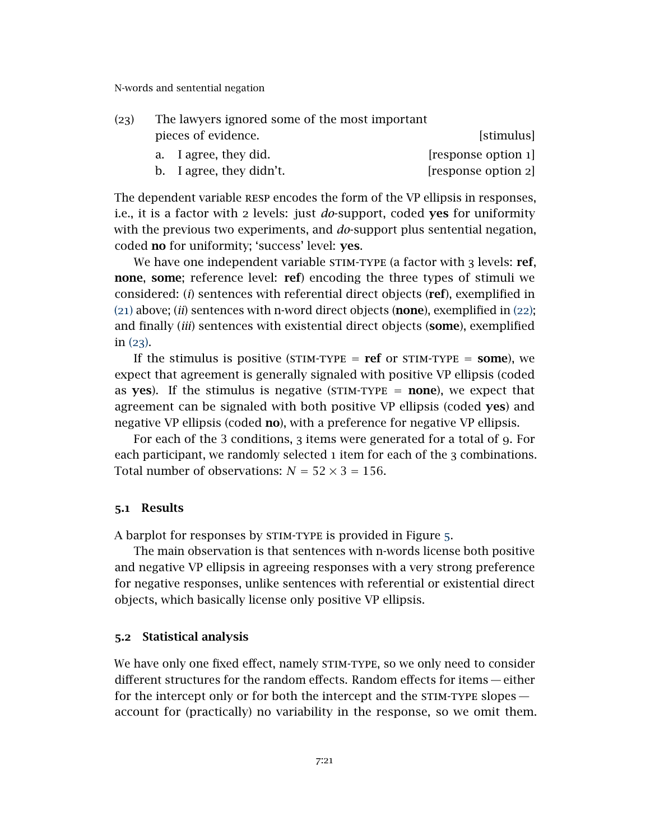<span id="page-21-0"></span>

|                     | The lawyers ignored some of the most important |                          | (23) |
|---------------------|------------------------------------------------|--------------------------|------|
| [stimulus]          |                                                | pieces of evidence.      |      |
| [response option 1] |                                                | a. I agree, they did.    |      |
| [response option 2] |                                                | b. I agree, they didn't. |      |

The dependent variable RESP encodes the form of the VP ellipsis in responses, i.e., it is a factor with 2 levels: just *do*-support, coded yes for uniformity with the previous two experiments, and *do*-support plus sentential negation, coded no for uniformity; 'success' level: yes.

We have one independent variable STIM-TYPE (a factor with 3 levels: ref, none, some; reference level: ref) encoding the three types of stimuli we considered: (*i*) sentences with referential direct objects (ref), exemplified in ([21](#page-20-1)) above; (*ii*) sentences with n-word direct objects (none), exemplified in ([22](#page-20-2)); and finally (*iii*) sentences with existential direct objects (some), exemplified in ([23](#page-21-0)).

If the stimulus is positive (STIM-TYPE =  $ref$  or STIM-TYPE =  $some$ ), we expect that agreement is generally signaled with positive VP ellipsis (coded as yes). If the stimulus is negative (STIM-TYPE  $=$  none), we expect that agreement can be signaled with both positive VP ellipsis (coded yes) and negative VP ellipsis (coded **no**), with a preference for negative VP ellipsis.

For each of the 3 conditions, 3 items were generated for a total of 9. For each participant, we randomly selected 1 item for each of the 3 combinations. Total number of observations:  $N = 52 \times 3 = 156$ .

#### 5.1 Results

A barplot for responses by STIM-TYPE is provided in Figure [5](#page-22-0).

The main observation is that sentences with n-words license both positive and negative VP ellipsis in agreeing responses with a very strong preference for negative responses, unlike sentences with referential or existential direct objects, which basically license only positive VP ellipsis.

### 5.2 Statistical analysis

We have only one fixed effect, namely STIM-TYPE, so we only need to consider different structures for the random effects. Random effects for items — either for the intercept only or for both the intercept and the  $STIM-TYPE$  slopes  $$ account for (practically) no variability in the response, so we omit them.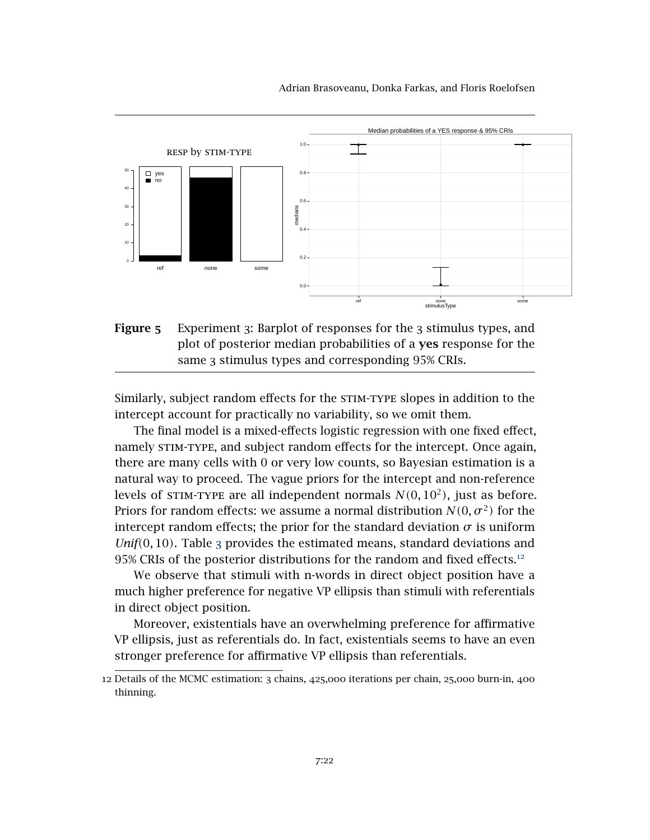Adrian Brasoveanu, Donka Farkas, and Floris Roelofsen

<span id="page-22-0"></span>

Figure 5 Experiment 3: Barplot of responses for the 3 stimulus types, and plot of posterior median probabilities of a yes response for the same 3 stimulus types and corresponding 95% CRIs.

Similarly, subject random effects for the stim-type slopes in addition to the intercept account for practically no variability, so we omit them.

The final model is a mixed-effects logistic regression with one fixed effect, namely STIM-TYPE, and subject random effects for the intercept. Once again, there are many cells with 0 or very low counts, so Bayesian estimation is a natural way to proceed. The vague priors for the intercept and non-reference levels of STIM-TYPE are all independent normals  $N(0, 10^2)$ , just as before. Priors for random effects: we assume a normal distribution  $N(0, \sigma^2)$  for the intercept random effects; the prior for the standard deviation  $\sigma$  is uniform *Unif(*0*,* 10*)*. Table [3](#page-23-0) provides the estimated means, standard deviations and 95% CRIs of the posterior distributions for the random and fixed effects.<sup>[12](#page-22-1)</sup>

We observe that stimuli with n-words in direct object position have a much higher preference for negative VP ellipsis than stimuli with referentials in direct object position.

Moreover, existentials have an overwhelming preference for affirmative VP ellipsis, just as referentials do. In fact, existentials seems to have an even stronger preference for affirmative VP ellipsis than referentials.

<span id="page-22-1"></span><sup>12</sup> Details of the MCMC estimation: 3 chains, 425,000 iterations per chain, 25,000 burn-in, 400 thinning.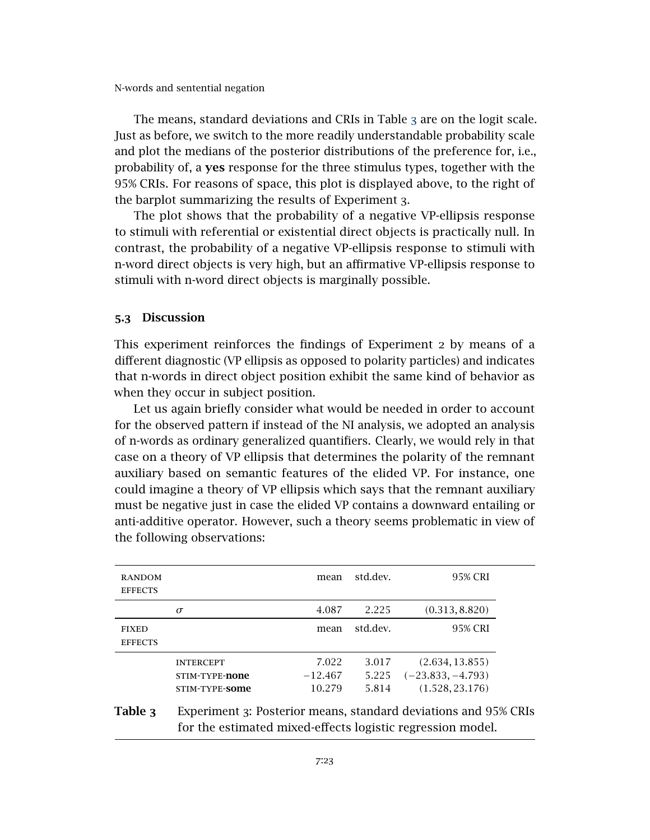The means, standard deviations and CRIs in Table [3](#page-23-0) are on the logit scale. Just as before, we switch to the more readily understandable probability scale and plot the medians of the posterior distributions of the preference for, i.e., probability of, a yes response for the three stimulus types, together with the 95% CRIs. For reasons of space, this plot is displayed above, to the right of the barplot summarizing the results of Experiment 3.

The plot shows that the probability of a negative VP-ellipsis response to stimuli with referential or existential direct objects is practically null. In contrast, the probability of a negative VP-ellipsis response to stimuli with n-word direct objects is very high, but an affirmative VP-ellipsis response to stimuli with n-word direct objects is marginally possible.

### 5.3 Discussion

This experiment reinforces the findings of Experiment 2 by means of a different diagnostic (VP ellipsis as opposed to polarity particles) and indicates that n-words in direct object position exhibit the same kind of behavior as when they occur in subject position.

Let us again briefly consider what would be needed in order to account for the observed pattern if instead of the NI analysis, we adopted an analysis of n-words as ordinary generalized quantifiers. Clearly, we would rely in that case on a theory of VP ellipsis that determines the polarity of the remnant auxiliary based on semantic features of the elided VP. For instance, one could imagine a theory of VP ellipsis which says that the remnant auxiliary must be negative just in case the elided VP contains a downward entailing or anti-additive operator. However, such a theory seems problematic in view of the following observations:

<span id="page-23-0"></span>

| <b>RANDOM</b><br><b>EFFECTS</b> |                                                      | mean                         | std.dev.                | 95% CRI                                                   |
|---------------------------------|------------------------------------------------------|------------------------------|-------------------------|-----------------------------------------------------------|
|                                 | $\sigma$                                             | 4.087                        | 2.225                   | (0.313, 8.820)                                            |
| <b>FIXED</b><br><b>EFFECTS</b>  |                                                      | mean                         | std.dev.                | 95% CRI                                                   |
|                                 | <b>INTERCEPT</b><br>STIM-TYPE-none<br>STIM-TYPE-SOME | 7.022<br>$-12.467$<br>10.279 | 3.017<br>5.225<br>5.814 | (2.634, 13.855)<br>$(-23.833, -4.793)$<br>(1.528, 23.176) |

# Table 3 Experiment 3: Posterior means, standard deviations and 95% CRIs for the estimated mixed-effects logistic regression model.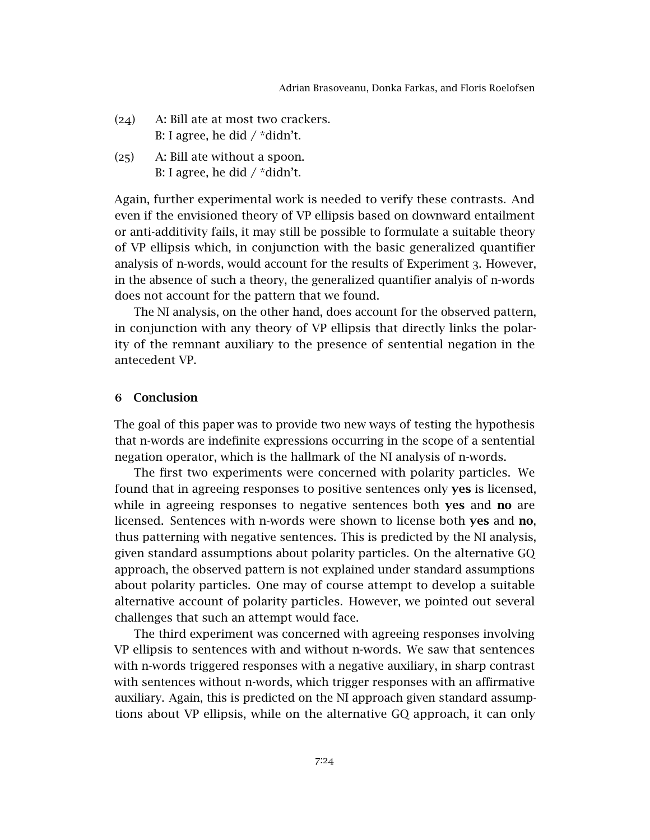- (24) A: Bill ate at most two crackers. B: I agree, he did / \*didn't.
- (25) A: Bill ate without a spoon. B: I agree, he did / \*didn't.

Again, further experimental work is needed to verify these contrasts. And even if the envisioned theory of VP ellipsis based on downward entailment or anti-additivity fails, it may still be possible to formulate a suitable theory of VP ellipsis which, in conjunction with the basic generalized quantifier analysis of n-words, would account for the results of Experiment 3. However, in the absence of such a theory, the generalized quantifier analyis of n-words does not account for the pattern that we found.

The NI analysis, on the other hand, does account for the observed pattern, in conjunction with any theory of VP ellipsis that directly links the polarity of the remnant auxiliary to the presence of sentential negation in the antecedent VP.

### <span id="page-24-0"></span>6 Conclusion

The goal of this paper was to provide two new ways of testing the hypothesis that n-words are indefinite expressions occurring in the scope of a sentential negation operator, which is the hallmark of the NI analysis of n-words.

The first two experiments were concerned with polarity particles. We found that in agreeing responses to positive sentences only yes is licensed, while in agreeing responses to negative sentences both **yes** and **no** are licensed. Sentences with n-words were shown to license both yes and no, thus patterning with negative sentences. This is predicted by the NI analysis, given standard assumptions about polarity particles. On the alternative GQ approach, the observed pattern is not explained under standard assumptions about polarity particles. One may of course attempt to develop a suitable alternative account of polarity particles. However, we pointed out several challenges that such an attempt would face.

The third experiment was concerned with agreeing responses involving VP ellipsis to sentences with and without n-words. We saw that sentences with n-words triggered responses with a negative auxiliary, in sharp contrast with sentences without n-words, which trigger responses with an affirmative auxiliary. Again, this is predicted on the NI approach given standard assumptions about VP ellipsis, while on the alternative GQ approach, it can only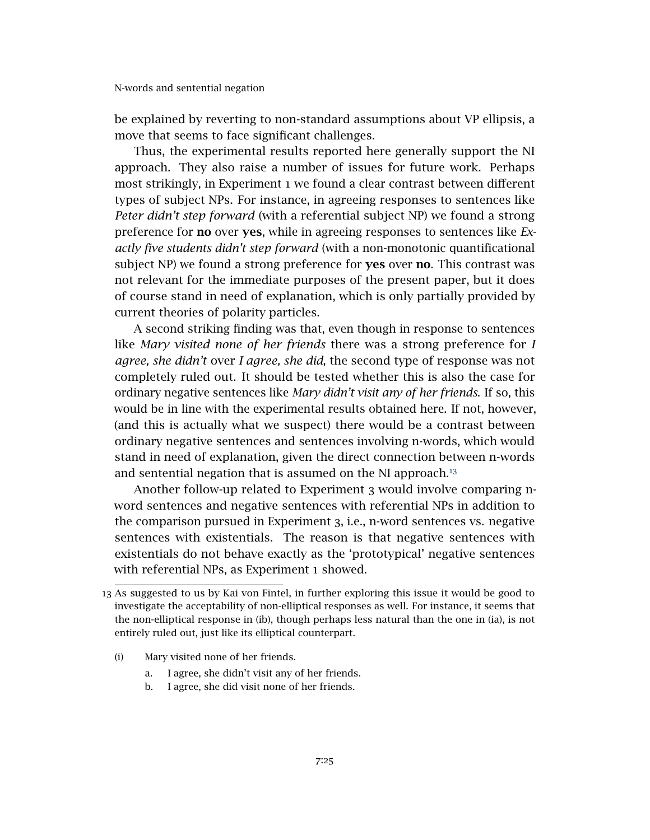be explained by reverting to non-standard assumptions about VP ellipsis, a move that seems to face significant challenges.

Thus, the experimental results reported here generally support the NI approach. They also raise a number of issues for future work. Perhaps most strikingly, in Experiment 1 we found a clear contrast between different types of subject NPs. For instance, in agreeing responses to sentences like *Peter didn't step forward* (with a referential subject NP) we found a strong preference for no over yes, while in agreeing responses to sentences like *Exactly five students didn't step forward* (with a non-monotonic quantificational subject NP) we found a strong preference for **yes** over **no**. This contrast was not relevant for the immediate purposes of the present paper, but it does of course stand in need of explanation, which is only partially provided by current theories of polarity particles.

A second striking finding was that, even though in response to sentences like *Mary visited none of her friends* there was a strong preference for *I agree, she didn't* over *I agree, she did*, the second type of response was not completely ruled out. It should be tested whether this is also the case for ordinary negative sentences like *Mary didn't visit any of her friends*. If so, this would be in line with the experimental results obtained here. If not, however, (and this is actually what we suspect) there would be a contrast between ordinary negative sentences and sentences involving n-words, which would stand in need of explanation, given the direct connection between n-words and sentential negation that is assumed on the NI approach. $13$ 

Another follow-up related to Experiment 3 would involve comparing nword sentences and negative sentences with referential NPs in addition to the comparison pursued in Experiment 3, i.e., n-word sentences vs. negative sentences with existentials. The reason is that negative sentences with existentials do not behave exactly as the 'prototypical' negative sentences with referential NPs, as Experiment 1 showed.

- (i) Mary visited none of her friends.
	- a. I agree, she didn't visit any of her friends.
	- b. I agree, she did visit none of her friends.

<span id="page-25-0"></span><sup>13</sup> As suggested to us by Kai von Fintel, in further exploring this issue it would be good to investigate the acceptability of non-elliptical responses as well. For instance, it seems that the non-elliptical response in (ib), though perhaps less natural than the one in (ia), is not entirely ruled out, just like its elliptical counterpart.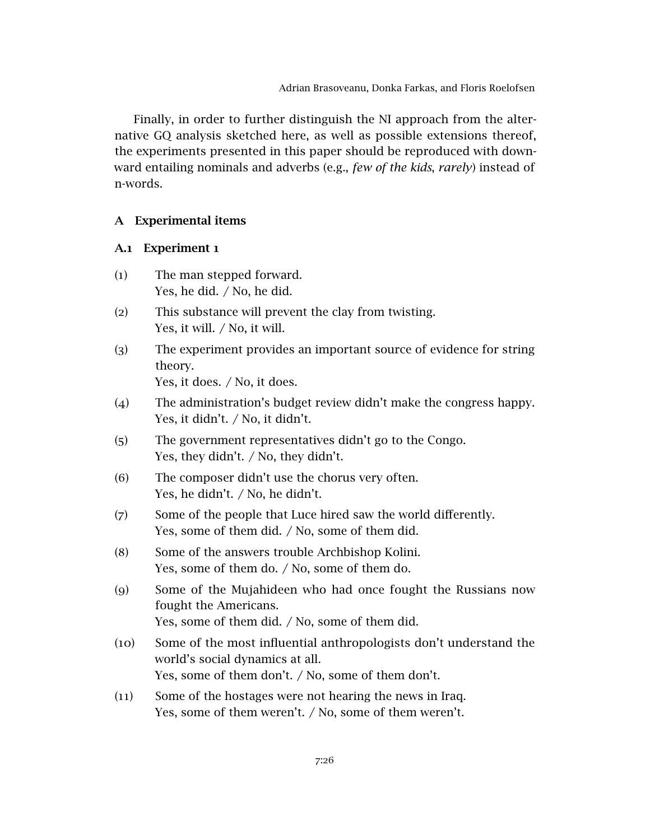Finally, in order to further distinguish the NI approach from the alternative GQ analysis sketched here, as well as possible extensions thereof, the experiments presented in this paper should be reproduced with downward entailing nominals and adverbs (e.g., *few of the kids*, *rarely*) instead of n-words.

### <span id="page-26-0"></span>A Experimental items

### A.1 Experiment 1

- (1) The man stepped forward. Yes, he did. / No, he did.
- (2) This substance will prevent the clay from twisting. Yes, it will. / No, it will.
- (3) The experiment provides an important source of evidence for string theory. Yes, it does. / No, it does.
- (4) The administration's budget review didn't make the congress happy. Yes, it didn't. / No, it didn't.
- (5) The government representatives didn't go to the Congo. Yes, they didn't. / No, they didn't.
- (6) The composer didn't use the chorus very often. Yes, he didn't. / No, he didn't.
- (7) Some of the people that Luce hired saw the world differently. Yes, some of them did. / No, some of them did.
- (8) Some of the answers trouble Archbishop Kolini. Yes, some of them do. / No, some of them do.
- (9) Some of the Mujahideen who had once fought the Russians now fought the Americans. Yes, some of them did. / No, some of them did.
- (10) Some of the most influential anthropologists don't understand the world's social dynamics at all. Yes, some of them don't. / No, some of them don't.
- (11) Some of the hostages were not hearing the news in Iraq. Yes, some of them weren't. / No, some of them weren't.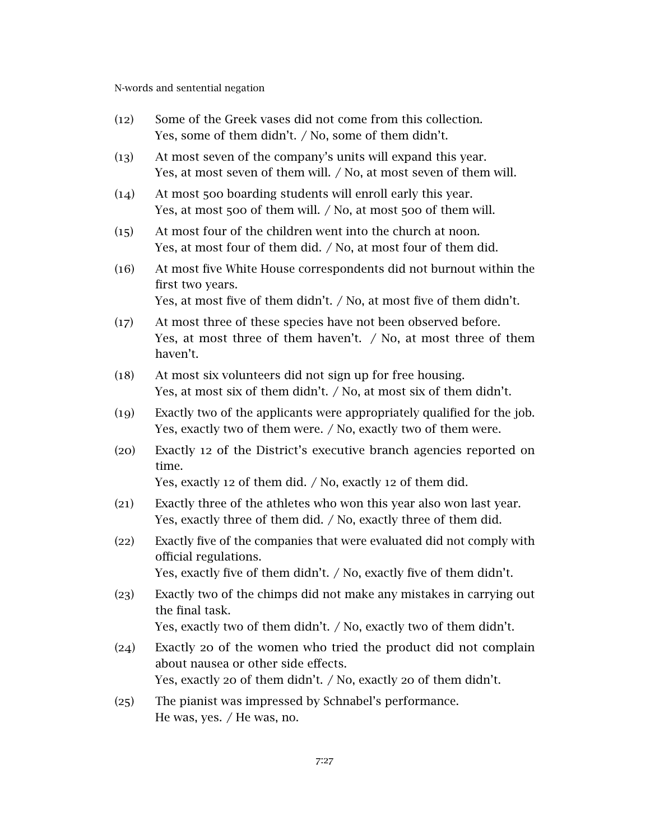- (12) Some of the Greek vases did not come from this collection. Yes, some of them didn't. / No, some of them didn't.
- (13) At most seven of the company's units will expand this year. Yes, at most seven of them will. / No, at most seven of them will.
- (14) At most 500 boarding students will enroll early this year. Yes, at most 500 of them will. / No, at most 500 of them will.
- (15) At most four of the children went into the church at noon. Yes, at most four of them did. / No, at most four of them did.
- (16) At most five White House correspondents did not burnout within the first two years.

Yes, at most five of them didn't. / No, at most five of them didn't.

- (17) At most three of these species have not been observed before. Yes, at most three of them haven't. / No, at most three of them haven't.
- (18) At most six volunteers did not sign up for free housing. Yes, at most six of them didn't. / No, at most six of them didn't.
- (19) Exactly two of the applicants were appropriately qualified for the job. Yes, exactly two of them were. / No, exactly two of them were.
- (20) Exactly 12 of the District's executive branch agencies reported on time.

Yes, exactly 12 of them did. / No, exactly 12 of them did.

- (21) Exactly three of the athletes who won this year also won last year. Yes, exactly three of them did. / No, exactly three of them did.
- (22) Exactly five of the companies that were evaluated did not comply with official regulations.

Yes, exactly five of them didn't. / No, exactly five of them didn't.

(23) Exactly two of the chimps did not make any mistakes in carrying out the final task.

Yes, exactly two of them didn't. / No, exactly two of them didn't.

- (24) Exactly 20 of the women who tried the product did not complain about nausea or other side effects. Yes, exactly 20 of them didn't. / No, exactly 20 of them didn't.
- (25) The pianist was impressed by Schnabel's performance. He was, yes. / He was, no.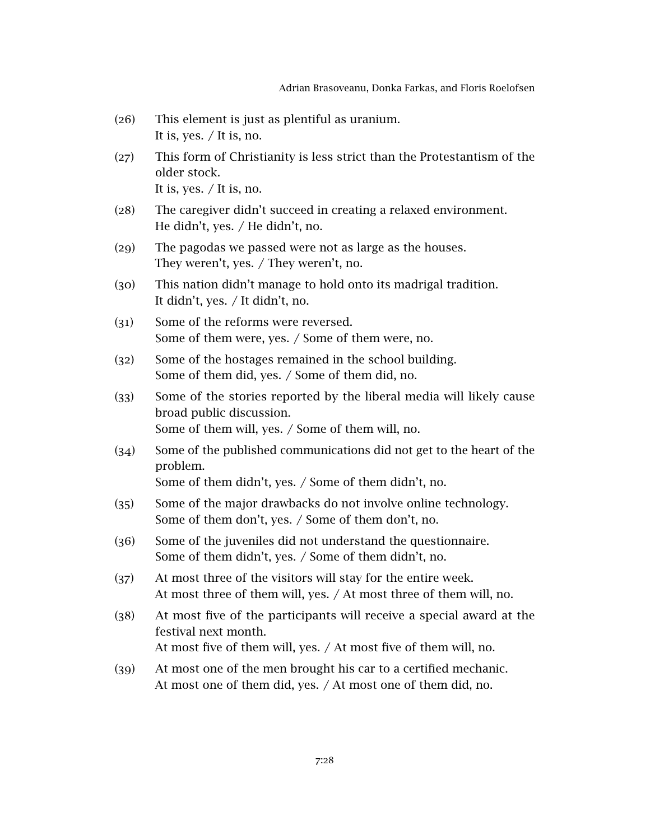- (26) This element is just as plentiful as uranium. It is, yes. / It is, no.
- (27) This form of Christianity is less strict than the Protestantism of the older stock. It is, yes. / It is, no.
- (28) The caregiver didn't succeed in creating a relaxed environment. He didn't, yes. / He didn't, no.
- (29) The pagodas we passed were not as large as the houses. They weren't, yes. / They weren't, no.
- (30) This nation didn't manage to hold onto its madrigal tradition. It didn't, yes. / It didn't, no.
- (31) Some of the reforms were reversed. Some of them were, yes. / Some of them were, no.
- (32) Some of the hostages remained in the school building. Some of them did, yes. / Some of them did, no.
- (33) Some of the stories reported by the liberal media will likely cause broad public discussion. Some of them will, yes. / Some of them will, no.
- (34) Some of the published communications did not get to the heart of the problem.

Some of them didn't, yes. / Some of them didn't, no.

- (35) Some of the major drawbacks do not involve online technology. Some of them don't, yes. / Some of them don't, no.
- (36) Some of the juveniles did not understand the questionnaire. Some of them didn't, yes. / Some of them didn't, no.
- (37) At most three of the visitors will stay for the entire week. At most three of them will, yes. / At most three of them will, no.
- (38) At most five of the participants will receive a special award at the festival next month. At most five of them will, yes. / At most five of them will, no.
- (39) At most one of the men brought his car to a certified mechanic. At most one of them did, yes. / At most one of them did, no.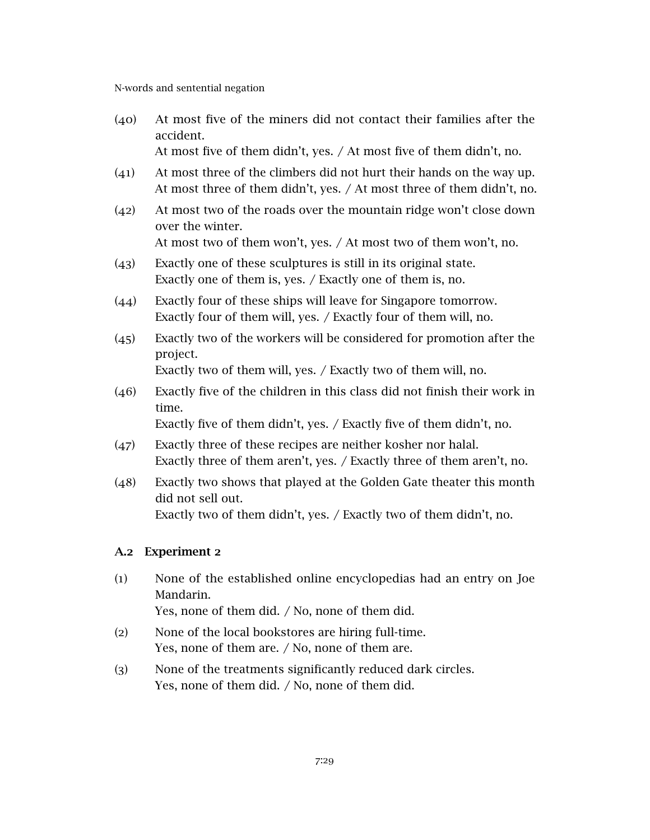(40) At most five of the miners did not contact their families after the accident.

At most five of them didn't, yes. / At most five of them didn't, no.

- (41) At most three of the climbers did not hurt their hands on the way up. At most three of them didn't, yes. / At most three of them didn't, no.
- (42) At most two of the roads over the mountain ridge won't close down over the winter. At most two of them won't, yes. / At most two of them won't, no.
- (43) Exactly one of these sculptures is still in its original state. Exactly one of them is, yes. / Exactly one of them is, no.
- (44) Exactly four of these ships will leave for Singapore tomorrow. Exactly four of them will, yes. / Exactly four of them will, no.
- (45) Exactly two of the workers will be considered for promotion after the project.

Exactly two of them will, yes. / Exactly two of them will, no.

(46) Exactly five of the children in this class did not finish their work in time.

Exactly five of them didn't, yes. / Exactly five of them didn't, no.

- (47) Exactly three of these recipes are neither kosher nor halal. Exactly three of them aren't, yes. / Exactly three of them aren't, no.
- (48) Exactly two shows that played at the Golden Gate theater this month did not sell out. Exactly two of them didn't, yes. / Exactly two of them didn't, no.

## A.2 Experiment 2

- (1) None of the established online encyclopedias had an entry on Joe Mandarin. Yes, none of them did. / No, none of them did.
- (2) None of the local bookstores are hiring full-time. Yes, none of them are. / No, none of them are.
- (3) None of the treatments significantly reduced dark circles. Yes, none of them did. / No, none of them did.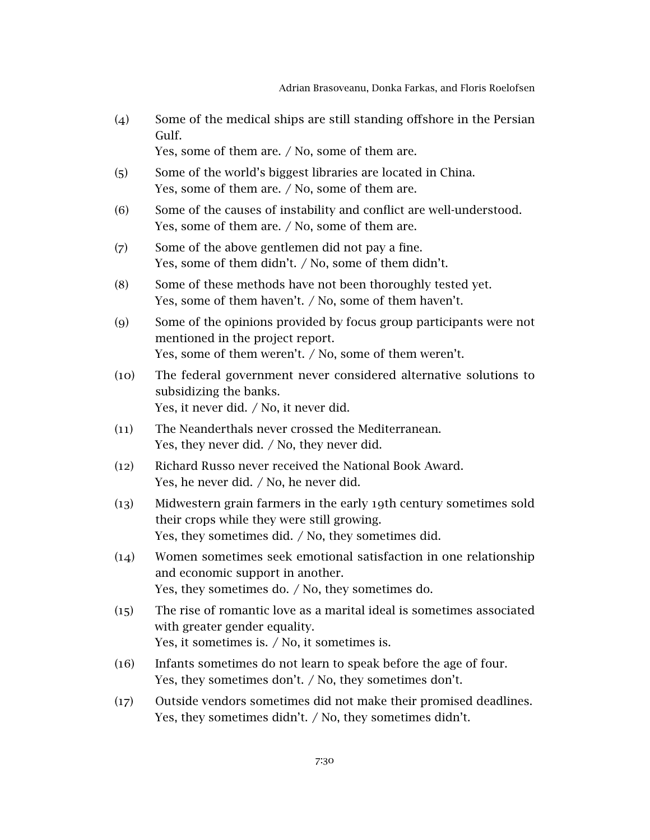(4) Some of the medical ships are still standing offshore in the Persian Gulf.

Yes, some of them are. / No, some of them are.

- (5) Some of the world's biggest libraries are located in China. Yes, some of them are. / No, some of them are.
- (6) Some of the causes of instability and conflict are well-understood. Yes, some of them are. / No, some of them are.
- (7) Some of the above gentlemen did not pay a fine. Yes, some of them didn't. / No, some of them didn't.
- (8) Some of these methods have not been thoroughly tested yet. Yes, some of them haven't. / No, some of them haven't.
- (9) Some of the opinions provided by focus group participants were not mentioned in the project report. Yes, some of them weren't. / No, some of them weren't.
- (10) The federal government never considered alternative solutions to subsidizing the banks. Yes, it never did. / No, it never did.
- (11) The Neanderthals never crossed the Mediterranean. Yes, they never did. / No, they never did.
- (12) Richard Russo never received the National Book Award. Yes, he never did. / No, he never did.
- (13) Midwestern grain farmers in the early 19th century sometimes sold their crops while they were still growing. Yes, they sometimes did. / No, they sometimes did.
- (14) Women sometimes seek emotional satisfaction in one relationship and economic support in another. Yes, they sometimes do. / No, they sometimes do.
- (15) The rise of romantic love as a marital ideal is sometimes associated with greater gender equality. Yes, it sometimes is. / No, it sometimes is.
- (16) Infants sometimes do not learn to speak before the age of four. Yes, they sometimes don't. / No, they sometimes don't.
- (17) Outside vendors sometimes did not make their promised deadlines. Yes, they sometimes didn't. / No, they sometimes didn't.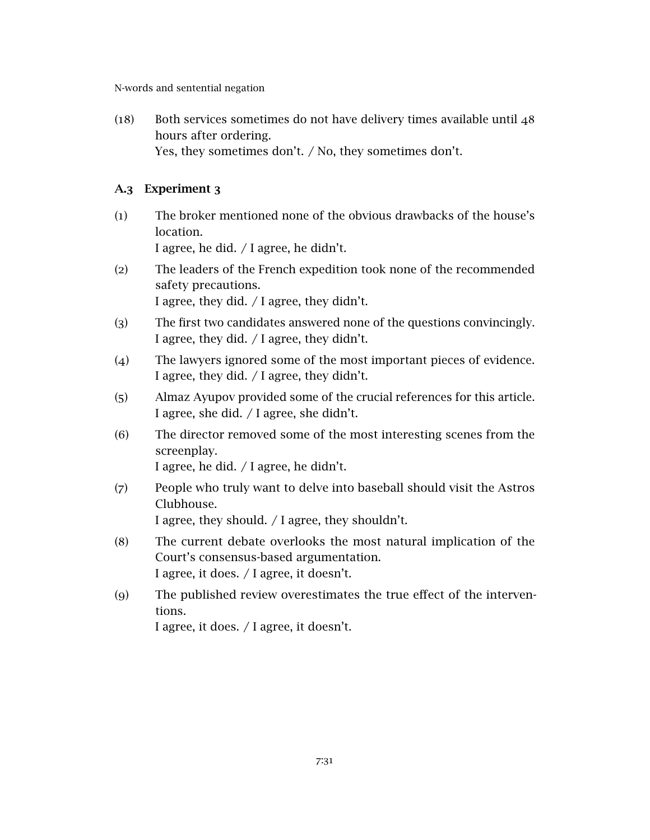(18) Both services sometimes do not have delivery times available until 48 hours after ordering. Yes, they sometimes don't. / No, they sometimes don't.

## A.3 Experiment 3

- (1) The broker mentioned none of the obvious drawbacks of the house's location. I agree, he did. / I agree, he didn't.
- (2) The leaders of the French expedition took none of the recommended safety precautions. I agree, they did. / I agree, they didn't.
- (3) The first two candidates answered none of the questions convincingly. I agree, they did. / I agree, they didn't.
- (4) The lawyers ignored some of the most important pieces of evidence. I agree, they did. / I agree, they didn't.
- (5) Almaz Ayupov provided some of the crucial references for this article. I agree, she did. / I agree, she didn't.
- (6) The director removed some of the most interesting scenes from the screenplay. I agree, he did. / I agree, he didn't.
- (7) People who truly want to delve into baseball should visit the Astros Clubhouse. I agree, they should. / I agree, they shouldn't.
- (8) The current debate overlooks the most natural implication of the Court's consensus-based argumentation. I agree, it does. / I agree, it doesn't.
- (9) The published review overestimates the true effect of the interventions.

I agree, it does. / I agree, it doesn't.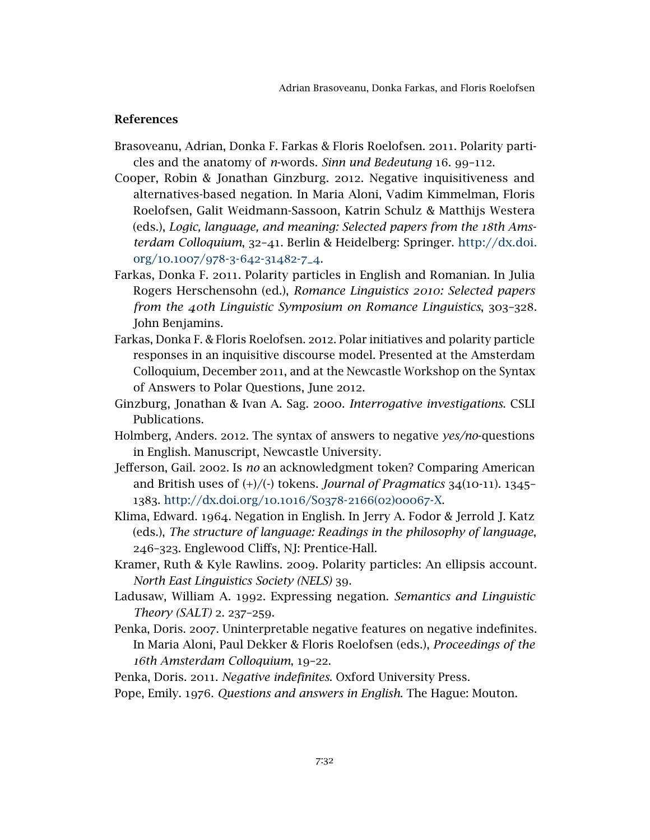### References

- <span id="page-32-0"></span>Brasoveanu, Adrian, Donka F. Farkas & Floris Roelofsen. 2011. Polarity particles and the anatomy of *n*-words. *Sinn und Bedeutung* 16. 99–112.
- <span id="page-32-10"></span>Cooper, Robin & Jonathan Ginzburg. 2012. Negative inquisitiveness and alternatives-based negation. In Maria Aloni, Vadim Kimmelman, Floris Roelofsen, Galit Weidmann-Sassoon, Katrin Schulz & Matthijs Westera (eds.), *Logic, language, and meaning: Selected papers from the 18th Amsterdam Colloquium*, 32–41. Berlin & Heidelberg: Springer. [http://dx.doi.](http://dx.doi.org/10.1007/978-3-642-31482-7_4) org/10.1007/978-3-642-[31482](http://dx.doi.org/10.1007/978-3-642-31482-7_4)-7\_4.
- <span id="page-32-8"></span>Farkas, Donka F. 2011. Polarity particles in English and Romanian. In Julia Rogers Herschensohn (ed.), *Romance Linguistics 2010: Selected papers from the 40th Linguistic Symposium on Romance Linguistics*, 303–328. John Benjamins.
- <span id="page-32-11"></span>Farkas, Donka F. & Floris Roelofsen. 2012. Polar initiatives and polarity particle responses in an inquisitive discourse model. Presented at the Amsterdam Colloquium, December 2011, and at the Newcastle Workshop on the Syntax of Answers to Polar Questions, June 2012.
- <span id="page-32-6"></span>Ginzburg, Jonathan & Ivan A. Sag. 2000. *Interrogative investigations*. CSLI Publications.
- <span id="page-32-9"></span>Holmberg, Anders. 2012. The syntax of answers to negative *yes/no*-questions in English. Manuscript, Newcastle University.
- <span id="page-32-12"></span>Jefferson, Gail. 2002. Is *no* an acknowledgment token? Comparing American and British uses of (+)/(-) tokens. *Journal of Pragmatics* 34(10-11). 1345– 1383. [http://dx.doi.org/](http://dx.doi.org/10.1016/S0378-2166(02)00067-X)10.1016/S0378-2166(02)00067-X.
- <span id="page-32-1"></span>Klima, Edward. 1964. Negation in English. In Jerry A. Fodor & Jerrold J. Katz (eds.), *The structure of language: Readings in the philosophy of language*, 246–323. Englewood Cliffs, NJ: Prentice-Hall.
- <span id="page-32-7"></span>Kramer, Ruth & Kyle Rawlins. 2009. Polarity particles: An ellipsis account. *North East Linguistics Society (NELS)* 39.
- <span id="page-32-2"></span>Ladusaw, William A. 1992. Expressing negation. *Semantics and Linguistic Theory (SALT)* 2. 237–259.
- <span id="page-32-3"></span>Penka, Doris. 2007. Uninterpretable negative features on negative indefinites. In Maria Aloni, Paul Dekker & Floris Roelofsen (eds.), *Proceedings of the 16th Amsterdam Colloquium*, 19–22.
- <span id="page-32-4"></span>Penka, Doris. 2011. *Negative indefinites*. Oxford University Press.
- <span id="page-32-5"></span>Pope, Emily. 1976. *Questions and answers in English*. The Hague: Mouton.